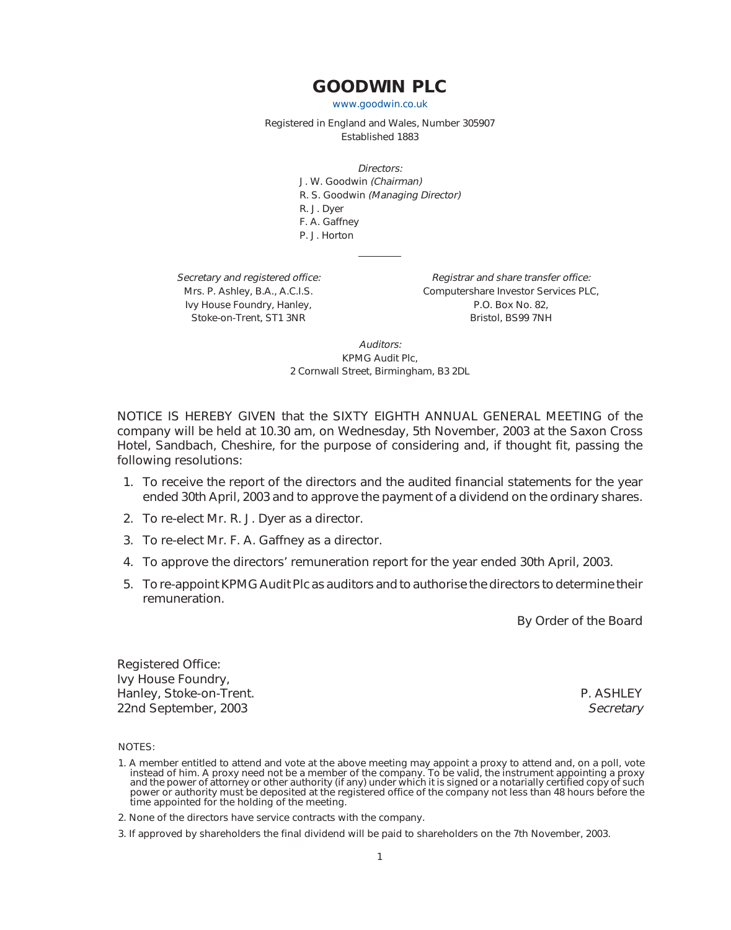www.goodwin.co.uk

Registered in England and Wales, Number 305907 Established 1883

Directors:

J. W. Goodwin (Chairman) R. S. Goodwin (Managing Director) R. J. Dyer F. A. Gaffney P. J. Horton

Ivy House Foundry, Hanley, And Alleman and Allen Box No. 82, P.O. Box No. 82, Stoke-on-Trent, ST1 3NR Bristol, BS99 7NH

Secretary and registered office:  $\qquad \qquad$  Registrar and share transfer office: Mrs. P. Ashley, B.A., A.C.I.S. Computershare Investor Services PLC,

> Auditors: KPMG Audit Plc,

2 Cornwall Street, Birmingham, B3 2DL

NOTICE IS HEREBY GIVEN that the SIXTY EIGHTH ANNUAL GENERAL MEETING of the company will be held at 10.30 am, on Wednesday, 5th November, 2003 at the Saxon Cross Hotel, Sandbach, Cheshire, for the purpose of considering and, if thought fit, passing the following resolutions:

- 1. To receive the report of the directors and the audited financial statements for the year ended 30th April, 2003 and to approve the payment of a dividend on the ordinary shares.
- 2. To re-elect Mr. R. J. Dyer as a director.
- 3. To re-elect Mr. F. A. Gaffney as a director.
- 4. To approve the directors' remuneration report for the year ended 30th April, 2003.
- 5. To re-appoint KPMG Audit Plc as auditors and to authorise the directors to determine their remuneration.

By Order of the Board

Registered Office: Ivy House Foundry, Hanley, Stoke-on-Trent. 22nd September, 2003

P. ASHLEY **Secretary** 

NOTES:

- 2. None of the directors have service contracts with the company.
- 3. If approved by shareholders the final dividend will be paid to shareholders on the 7th November, 2003.

<sup>1.</sup> A member entitled to attend and vote at the above meeting may appoint a proxy to attend and, on a poll, vote instead of him. A proxy need not be a member of the company. To be valid, the instrument appointing a proxy and the power of attorney or other authority (if any) under which it is signed or a notarially certified copy of such power or authority must be deposited at the registered office of the company not less than 48 hours before the time appointed for the holding of the meeting.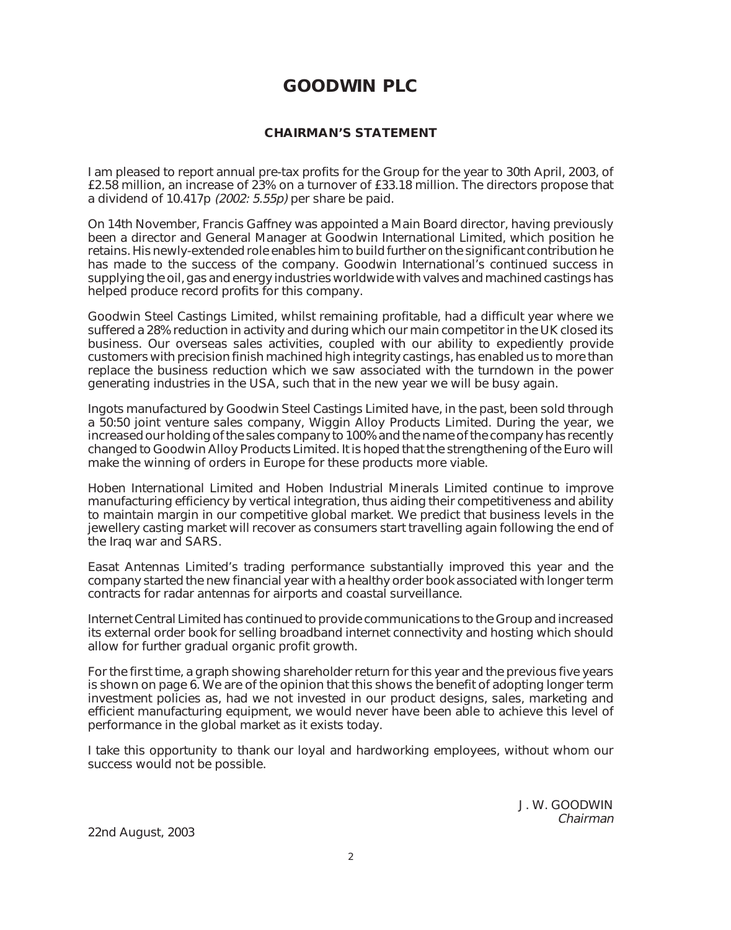# **CHAIRMAN'S STATEMENT**

I am pleased to report annual pre-tax profits for the Group for the year to 30th April, 2003, of £2.58 million, an increase of 23% on a turnover of £33.18 million. The directors propose that a dividend of 10.417p (2002: 5.55p) per share be paid.

On 14th November, Francis Gaffney was appointed a Main Board director, having previously been a director and General Manager at Goodwin International Limited, which position he retains. His newly-extended role enables him to build further on the significant contribution he has made to the success of the company. Goodwin International's continued success in supplying the oil, gas and energy industries worldwide with valves and machined castings has helped produce record profits for this company.

Goodwin Steel Castings Limited, whilst remaining profitable, had a difficult year where we suffered a 28% reduction in activity and during which our main competitor in the UK closed its business. Our overseas sales activities, coupled with our ability to expediently provide customers with precision finish machined high integrity castings, has enabled us to more than replace the business reduction which we saw associated with the turndown in the power generating industries in the USA, such that in the new year we will be busy again.

Ingots manufactured by Goodwin Steel Castings Limited have, in the past, been sold through a 50:50 joint venture sales company, Wiggin Alloy Products Limited. During the year, we increased our holding of the sales company to 100% and the name of the company has recently changed to Goodwin Alloy Products Limited. It is hoped that the strengthening of the Euro will make the winning of orders in Europe for these products more viable.

Hoben International Limited and Hoben Industrial Minerals Limited continue to improve manufacturing efficiency by vertical integration, thus aiding their competitiveness and ability to maintain margin in our competitive global market. We predict that business levels in the jewellery casting market will recover as consumers start travelling again following the end of the Iraq war and SARS.

Easat Antennas Limited's trading performance substantially improved this year and the company started the new financial year with a healthy order book associated with longer term contracts for radar antennas for airports and coastal surveillance.

Internet Central Limited has continued to provide communications to the Group and increased its external order book for selling broadband internet connectivity and hosting which should allow for further gradual organic profit growth.

For the first time, a graph showing shareholder return for this year and the previous five years is shown on page 6. We are of the opinion that this shows the benefit of adopting longer term investment policies as, had we not invested in our product designs, sales, marketing and efficient manufacturing equipment, we would never have been able to achieve this level of performance in the global market as it exists today.

I take this opportunity to thank our loyal and hardworking employees, without whom our success would not be possible.

> J. W. GOODWIN Chairman

22nd August, 2003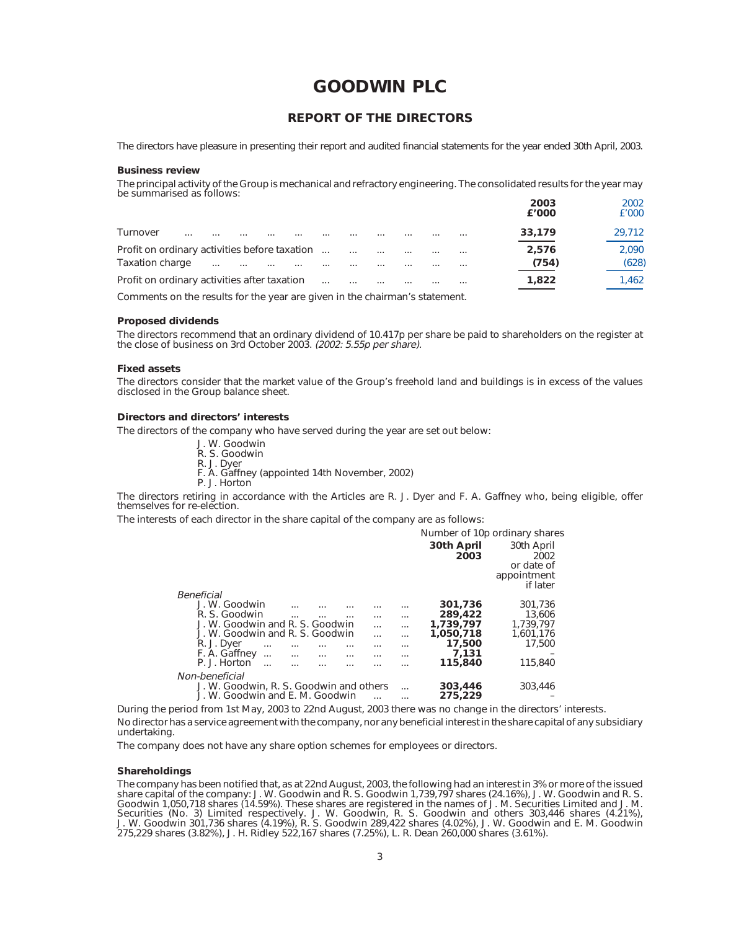# **REPORT OF THE DIRECTORS**

The directors have pleasure in presenting their report and audited financial statements for the year ended 30th April, 2003.

### **Business review**

The principal activity of the Group is mechanical and refractory engineering. The consolidated results for the year may be summarised as follows:

|                                                                                                                                         | 2003<br>£'000 | 2002<br>£'000 |
|-----------------------------------------------------------------------------------------------------------------------------------------|---------------|---------------|
| Turnover<br>$\cdots$<br>$\cdots$<br>$\cdots$                                                                                            | 33,179        | 29.712        |
| Profit on ordinary activities before taxation<br>$\ldots$<br>$\cdots$<br>$\cdots$<br>$\cdots$<br>$\cdots$                               | 2,576         | 2.090         |
| Taxation charge<br>$\cdots$<br>$\cdots$<br>$\cdots$<br>$\cdots$<br>$\cdots$<br>$\cdots$<br>$\cdots$<br>$\cdots$<br>$\cdots$<br>$\cdots$ | (754)         | (628)         |
| Profit on ordinary activities after taxation<br>$\cdots$<br>$\cdots$<br>$\cdots$<br>$\cdots$<br>$\cdots$<br>$\cdots$                    | 1,822         | 1.462         |

Comments on the results for the year are given in the chairman's statement.

#### **Proposed dividends**

The directors recommend that an ordinary dividend of 10.417p per share be paid to shareholders on the register at the close of business on 3rd October 2003. (2002: 5.55p per share).

#### **Fixed assets**

The directors consider that the market value of the Group's freehold land and buildings is in excess of the values disclosed in the Group balance sheet.

#### **Directors and directors' interests**

The directors of the company who have served during the year are set out below:

- J. W. Goodwin
- R. S. Goodwin
- R. J. Dyer
- F. A. Gaffney (appointed 14th November, 2002)
- P. J. Horton

The directors retiring in accordance with the Articles are R. J. Dyer and F. A. Gaffney who, being eligible, offer themselves for re-election.

The interests of each director in the share capital of the company are as follows:

|                                                                                |            | Number of 10p ordinary shares |
|--------------------------------------------------------------------------------|------------|-------------------------------|
|                                                                                | 30th April | 30th April                    |
|                                                                                | 2003       | 2002                          |
|                                                                                |            | or date of                    |
|                                                                                |            | appointment                   |
|                                                                                |            | if later                      |
| Beneficial                                                                     |            |                               |
| J. W. Goodwin<br>.<br>.<br>.                                                   | 301,736    | 301,736                       |
| R. S. Goodwin<br>$\cdots$<br>$\cdots$<br>.<br>$\cdots$                         | 289,422    | 13,606                        |
| J. W. Goodwin and R. S. Goodwin<br>$\cdots$<br>$\cdots$                        | 1,739,797  | 1,739,797                     |
| J. W. Goodwin and R. S. Goodwin<br>.<br>$\cdots$                               | 1,050,718  | 1,601,176                     |
| R. J. Dyer<br>$\cdots$<br>$\cdots$<br>.<br>.<br>$\cdots$                       | 17,500     | 17,500                        |
| F. A. Gaffney<br>$\cdots$<br>$\cdots$<br>$\cdots$<br>.<br>$\cdots$<br>$\cdots$ | 7,131      |                               |
| P. J. Horton<br>.<br>.<br>.<br>.                                               | 115,840    | 115,840                       |
| Non-beneficial                                                                 |            |                               |
| J. W. Goodwin, R. S. Goodwin and others                                        | 303,446    | 303,446                       |
| J. W. Goodwin and E. M. Goodwin<br>$\cdots$<br>$\cdots$                        | 275,229    |                               |

During the period from 1st May, 2003 to 22nd August, 2003 there was no change in the directors' interests. No director has a service agreement with the company, nor any beneficial interest in the share capital of any subsidiary undertaking.

The company does not have any share option schemes for employees or directors.

#### **Shareholdings**

The company has been notified that, as at 22nd August, 2003, the following had an interest in 3% or more of the issued<br>share capital of the company: J. W. Goodwin and R. S. Goodwin 1,739,797 shares (24.16%), J. W. Goodwin Goodwin 1,050,718 shares (14.59%). These shares are registered in the names of J. M. Securities Limited and J. M. Securities (No. 3) Limited respectively. J. W. Goodwin, R. S. Goodwin and others 303,446 shares (4.21%), J. W. Goodwin 301,736 shares (4.19%), R. S. Goodwin 289,422 shares (4.02%), J. W. Goodwin and E. M. Goodwin 275,229 shares (3.82%), J. H. Ridley 522,167 shares (7.25%), L. R. Dean 260,000 shares (3.61%).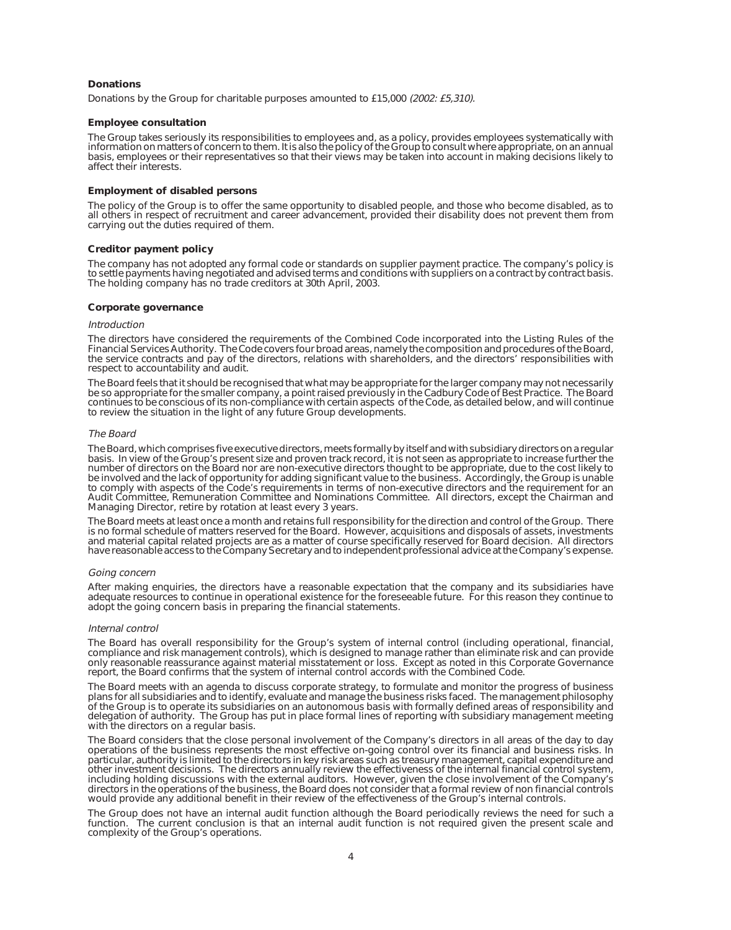#### **Donations**

Donations by the Group for charitable purposes amounted to £15,000 (2002: £5,310).

#### **Employee consultation**

The Group takes seriously its responsibilities to employees and, as a policy, provides employees systematically with<br>information on matters of concern to them. It is also the policy of the Group to consult where appropriat basis, employees or their representatives so that their views may be taken into account in making decisions likely to affect their interests.

#### **Employment of disabled persons**

The policy of the Group is to offer the same opportunity to disabled people, and those who become disabled, as to all others in respect of recruitment and career advancement, provided their disability does not prevent them from carrying out the duties required of them.

#### **Creditor payment policy**

The company has not adopted any formal code or standards on supplier payment practice. The company's policy is to settle payments having negotiated and advised terms and conditions with suppliers on a contract by contract basis. The holding company has no trade creditors at 30th April, 2003.

#### **Corporate governance**

#### Introduction

The directors have considered the requirements of the Combined Code incorporated into the Listing Rules of the Financial Services Authority. The Code covers four broad areas, namely the composition and procedures of the Board, the service contracts and pay of the directors, relations with shareholders, and the directors' responsibilities with respect to accountability and audit.

The Board feels that it should be recognised that what may be appropriate for the larger company may not necessarily be so appropriate for the smaller company, a point raised previously in the Cadbury Code of Best Practice. The Board<br>continues to be conscious of its non-compliance with certain aspects of the Code, as detailed below, and to review the situation in the light of any future Group developments.

#### The Board

The Board, which comprises five executive directors, meets formally by itself and with subsidiary directors on a regular basis. In view of the Group's present size and proven track record, it is not seen as appropriate to increase further the number of directors on the Board nor are non-executive directors thought to be appropriate, due to the cost likely to be involved and the lack of opportunity for adding significant value to the business. Accordingly, the Group is unable to comply with aspects of the Code's requirements in terms of non-executive directors and the requirement for an Audit Committee, Remuneration Committee and Nominations Committee. All directors, except the Chairman and Managing Director, retire by rotation at least every 3 years.

The Board meets at least once a month and retains full responsibility for the direction and control of the Group. There is no formal schedule of matters reserved for the Board. However, acquisitions and disposals of assets, investments<br>and material capital related projects are as a matter of course specifically reserved for Board decision. have reasonable access to the Company Secretary and to independent professional advice at the Company's expense.

#### Going concern

After making enquiries, the directors have a reasonable expectation that the company and its subsidiaries have adequate resources to continue in operational existence for the foreseeable future. For this reason they continue to adopt the going concern basis in preparing the financial statements.

#### Internal control

The Board has overall responsibility for the Group's system of internal control (including operational, financial, compliance and risk management controls), which is designed to manage rather than eliminate risk and can provide only reasonable reassurance against material misstatement or loss. Except as noted in this Corporate Governance report, the Board confirms that the system of internal control accords with the Combined Code.

The Board meets with an agenda to discuss corporate strategy, to formulate and monitor the progress of business plans for all subsidiaries and to identify, evaluate and manage the business risks faced. The management philosophy of the Group is to operate its subsidiaries on an autonomous basis with formally defined areas of responsibility and<br>delegation of authority. The Group has put in place formal lines of reporting with subsidiary management with the directors on a regular basis.

The Board considers that the close personal involvement of the Company's directors in all areas of the day to day operations of the business represents the most effective on-going control over its financial and business risks. In<br>particular, authority is limited to the directors in key risk areas such as treasury management, capital e other investment decisions. The directors annually review the effectiveness of the internal financial control system, including holding discussions with the external auditors. However, given the close involvement of the Company's<br>directors in the operations of the business, the Board does not consider that a formal review of non financial would provide any additional benefit in their review of the effectiveness of the Group's internal controls.

The Group does not have an internal audit function although the Board periodically reviews the need for such a<br>function. The current conclusion is that an internal audit function is not required given the present scale and The current conclusion is that an internal audit function is not required given the present scale and complexity of the Group's operations.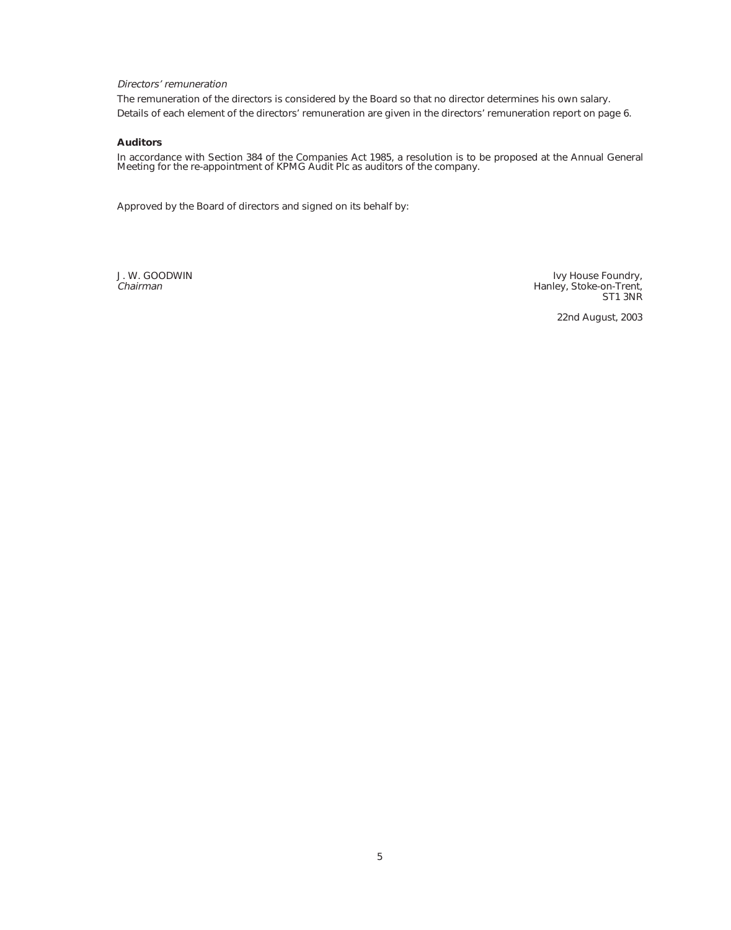## Directors' remuneration

The remuneration of the directors is considered by the Board so that no director determines his own salary. Details of each element of the directors' remuneration are given in the directors' remuneration report on page 6.

# **Auditors**

In accordance with Section 384 of the Companies Act 1985, a resolution is to be proposed at the Annual General Meeting for the re-appointment of KPMG Audit Plc as auditors of the company.

Approved by the Board of directors and signed on its behalf by:

J. W. GOODWIN Ivy House Foundry, Chairman Hanley, Stoke-on-Trent, Annual Media and American Hanley, Stoke-on-Trent, Annual Media and American Hanley, Stoke-on-Trent, Annual Media and American Hanley, Stoke-on-Trent, Annual Media and American American Amer ST1 3NR

22nd August, 2003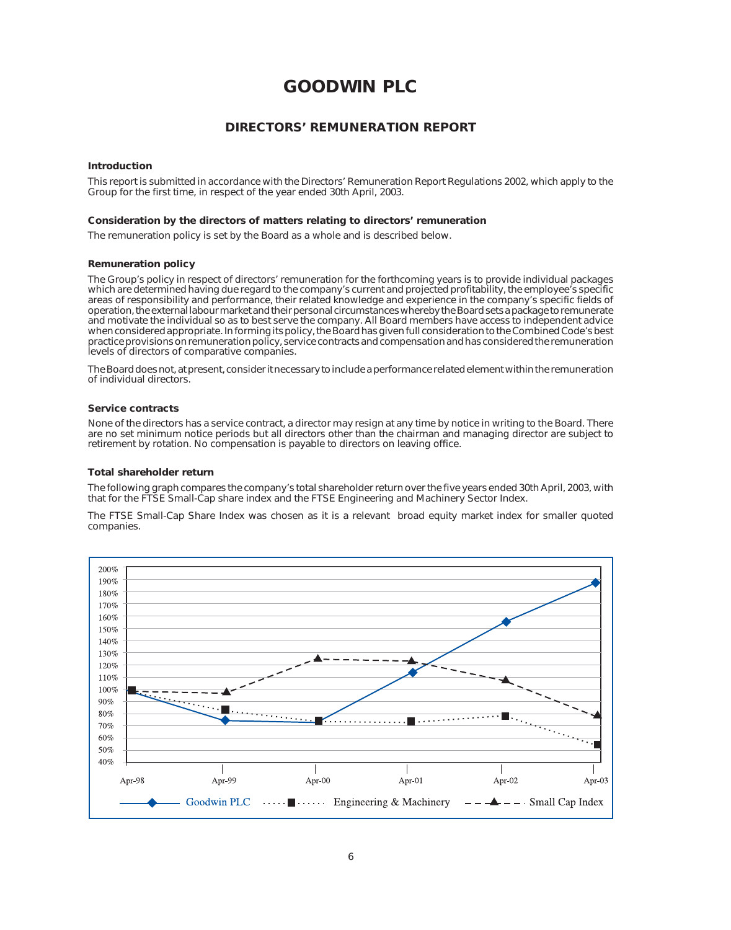# **DIRECTORS' REMUNERATION REPORT**

## **Introduction**

This report is submitted in accordance with the Directors' Remuneration Report Regulations 2002, which apply to the Group for the first time, in respect of the year ended 30th April, 2003.

#### **Consideration by the directors of matters relating to directors' remuneration**

The remuneration policy is set by the Board as a whole and is described below.

#### **Remuneration policy**

The Group's policy in respect of directors' remuneration for the forthcoming years is to provide individual packages which are determined having due regard to the company's current and projected profitability, the employee's specific areas of responsibility and performance, their related knowledge and experience in the company's specific fields of operation, the external labour market and their personal circumstances whereby the Board sets a package to remunerate and motivate the individual so as to best serve the company. All Board members have access to independent advice when considered appropriate. In forming its policy, the Board has given full consideration to the Combined Code's best practice provisions on remuneration policy, service contracts and compensation and has considered the remuneration levels of directors of comparative companies.

The Board does not, at present, consider it necessary to include a performance related element within the remuneration of individual directors.

#### **Service contracts**

None of the directors has a service contract, a director may resign at any time by notice in writing to the Board. There are no set minimum notice periods but all directors other than the chairman and managing director are subject to retirement by rotation. No compensation is payable to directors on leaving office.

#### **Total shareholder return**

The following graph compares the company's total shareholder return over the five years ended 30th April, 2003, with that for the FTSE Small-Cap share index and the FTSE Engineering and Machinery Sector Index.

The FTSE Small-Cap Share Index was chosen as it is a relevant broad equity market index for smaller quoted companies.

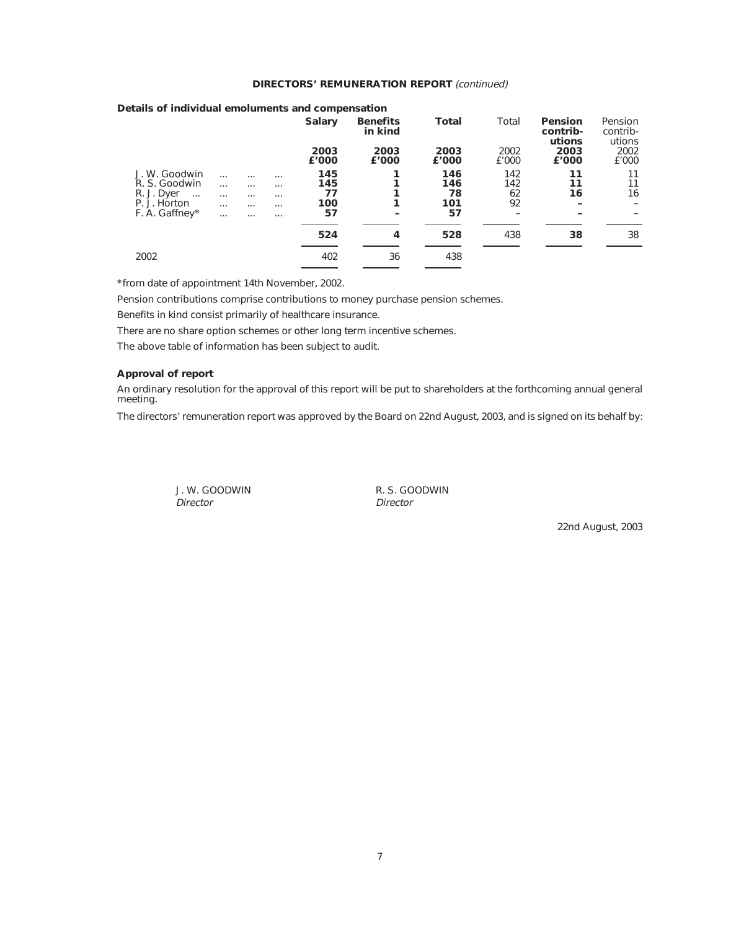## **DIRECTORS' REMUNERATION REPORT** (continued)

| etails of individual emoluments and compensation |          |          |          |               |                            |               |               |                                      |                               |
|--------------------------------------------------|----------|----------|----------|---------------|----------------------------|---------------|---------------|--------------------------------------|-------------------------------|
|                                                  |          |          |          | <b>Salary</b> | <b>Benefits</b><br>in kind | <b>Total</b>  | Total         | <b>Pension</b><br>contrib-<br>utions | Pension<br>contrib-<br>utions |
|                                                  |          |          |          | 2003<br>£'000 | 2003<br>£'000              | 2003<br>£'000 | 2002<br>£'000 | 2003<br>£'000                        | 2002<br>£'000                 |
| J. W. Goodwin                                    | $\cdots$ | $\cdots$ | $\cdots$ | 145           |                            | 146           | 142           | 11                                   | 11                            |
| R. S. Goodwin                                    | $\cdots$ | $\cdots$ | $\cdots$ | 145           |                            | 146           | 142           | 11                                   | 11                            |
| R. J. Dyer<br>$\cdots$                           | $\cdots$ | $\cdots$ | $\cdots$ | 77            |                            | 78            | 62            | 16                                   | 16                            |
| P. J. Horton                                     | $\cdots$ | $\cdots$ | $\cdots$ | 100           |                            | 101           | 92            |                                      |                               |
| F. A. Gaffney*                                   | $\cdots$ | $\cdots$ | $\cdots$ | 57            |                            | 57            |               |                                      |                               |
|                                                  |          |          |          | 524           | 4                          | 528           | 438           | 38                                   | 38                            |
| 2002                                             |          |          |          | 402           | 36                         | 438           |               |                                      |                               |
|                                                  |          |          |          |               |                            |               |               |                                      |                               |

**Details of individual emoluments and compensation**

\*from date of appointment 14th November, 2002.

Pension contributions comprise contributions to money purchase pension schemes.

Benefits in kind consist primarily of healthcare insurance.

There are no share option schemes or other long term incentive schemes.

The above table of information has been subject to audit.

#### **Approval of report**

An ordinary resolution for the approval of this report will be put to shareholders at the forthcoming annual general meeting.

The directors' remuneration report was approved by the Board on 22nd August, 2003, and is signed on its behalf by:

J. W. GOODWIN R. S. GOODWIN Pirector Director

22nd August, 2003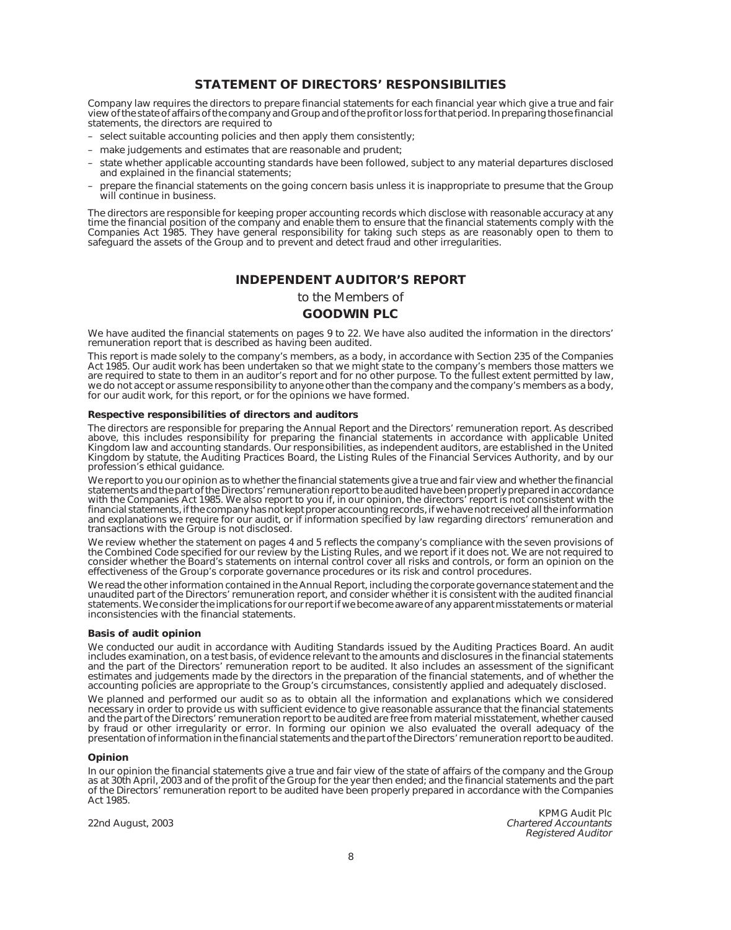# **STATEMENT OF DIRECTORS' RESPONSIBILITIES**

Company law requires the directors to prepare financial statements for each financial year which give a true and fair view of the state of affairs of the company and Group and of the profit or loss for that period. In preparing those financial statements, the directors are required to

- select suitable accounting policies and then apply them consistently;
- make judgements and estimates that are reasonable and prudent;
- state whether applicable accounting standards have been followed, subject to any material departures disclosed and explained in the financial statements;
- prepare the financial statements on the going concern basis unless it is inappropriate to presume that the Group will continue in business.

The directors are responsible for keeping proper accounting records which disclose with reasonable accuracy at any<br>time the financial position of the company and enable them to ensure that the financial statements comply w Companies Act 1985. They have general responsibility for taking such steps as are reasonably open to them to safeguard the assets of the Group and to prevent and detect fraud and other irregularities.

# **INDEPENDENT AUDITOR'S REPORT**

to the Members of

# **GOODWIN PLC**

We have audited the financial statements on pages 9 to 22. We have also audited the information in the directors' remuneration report that is described as having been audited.

This report is made solely to the company's members, as a body, in accordance with Section 235 of the Companies Act 1985. Our audit work has been undertaken so that we might state to the company's members those matters we<br>are required to state to them in an auditor's report and for no other purpose. To the fullest extent permitted b we do not accept or assume responsibility to anyone other than the company and the company's members as a body, for our audit work, for this report, or for the opinions we have formed.

#### **Respective responsibilities of directors and auditors**

The directors are responsible for preparing the Annual Report and the Directors' remuneration report. As described<br>above, this includes responsibility for preparing the financial statements in accordance with applicable Un Kingdom law and accounting standards. Our responsibilities, as independent auditors, are established in the United Kingdom by statute, the Auditing Practices Board, the Listing Rules of the Financial Services Authority, and by our profession's ethical guidance.

We report to you our opinion as to whether the financial statements give a true and fair view and whether the financial statements and the part of the Directors' remuneration report to be audited have been properly prepared in accordance with the Companies Act 1985. We also report to you if, in our opinion, the directors' report is not consistent with the financial statements, if the company has not kept proper accounting records, if we have not received all the information<br>and explanations we require for our audit, or if information specified by law regarding directors' re transactions with the Group is not disclosed.

We review whether the statement on pages 4 and 5 reflects the company's compliance with the seven provisions of the Combined Code specified for our review by the Listing Rules, and we report if it does not. We are not required to consider whether the Board's statements on internal control cover all risks and controls, or form an opinion on the effectiveness of the Group's corporate governance procedures or its risk and control procedures.

We read the other information contained in the Annual Report, including the corporate governance statement and the unaudited part of the Directors' remuneration report, and consider whether it is consistent with the audited financial statements. We consider the implications for our report if we become aware of any apparent misstatements or material inconsistencies with the financial statements.

### **Basis of audit opinion**

We conducted our audit in accordance with Auditing Standards issued by the Auditing Practices Board. An audit includes examination, on a test basis, of evidence relevant to the amounts and disclosures in the financial statements and the part of the Directors' remuneration report to be audited. It also includes an assessment of the significant estimates and judgements made by the directors in the preparation of the financial statements, and of whether the accounting policies are appropriate to the Group's circumstances, consistently applied and adequately disclosed.

We planned and performed our audit so as to obtain all the information and explanations which we considered necessary in order to provide us with sufficient evidence to give reasonable assurance that the financial statements and the part of the Directors' remuneration report to be audited are free from material misstatement, whether caused by fraud or other irregularity or error. In forming our opinion we also evaluated the overall adequacy of the<br>presentation of information in the financial statements and the part of the Directors' remuneration report to be

#### **Opinion**

In our opinion the financial statements give a true and fair view of the state of affairs of the company and the Group as at 30th April, 2003 and of the profit of the Group for the year then ended; and the financial statements and the part of the Directors' remuneration report to be audited have been properly prepared in accordance with the Companies Act 1985.

KPMG Audit Plc 22nd August, 2003 Chartered Accountants Registered Auditor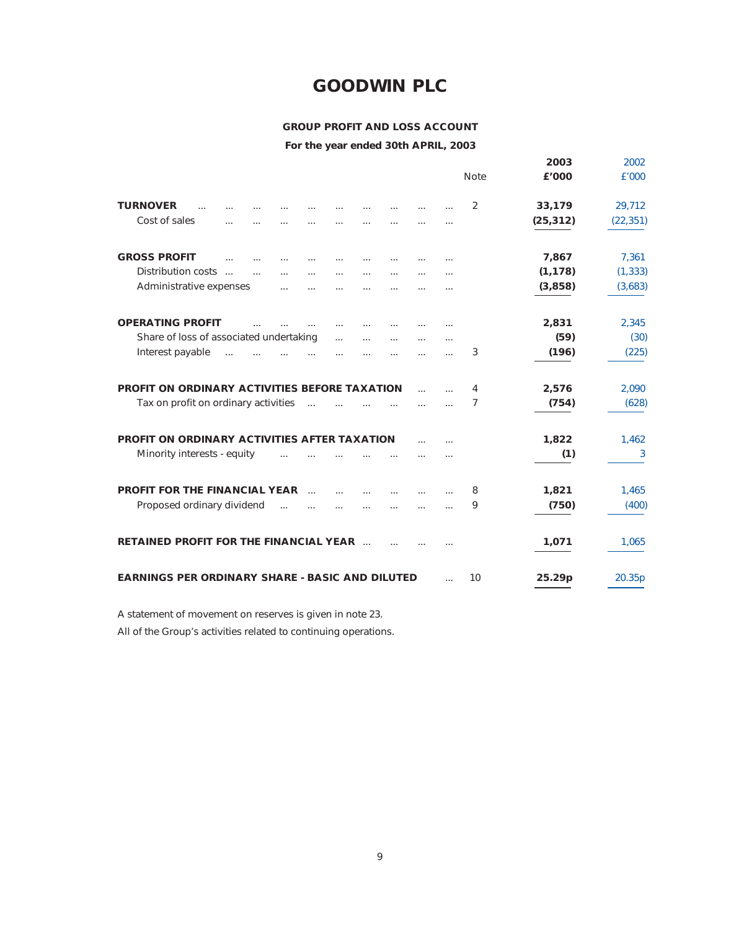# **GROUP PROFIT AND LOSS ACCOUNT**

# **For the year ended 30th APRIL, 2003**

|                                                        |          |          |          |           |          |           |          |           |            |             | 2003      | 2002      |
|--------------------------------------------------------|----------|----------|----------|-----------|----------|-----------|----------|-----------|------------|-------------|-----------|-----------|
|                                                        |          |          |          |           |          |           |          |           |            | <b>Note</b> | £'000     | £'000     |
| <b>TURNOVER</b><br>$\cdots$                            |          |          |          |           |          |           |          |           |            | 2           | 33,179    | 29,712    |
| Cost of sales                                          | $\cdots$ |          |          |           |          |           |          |           |            |             | (25, 312) | (22, 351) |
| <b>GROSS PROFIT</b>                                    |          |          |          |           |          |           |          |           |            |             | 7,867     | 7,361     |
| <b>Distribution costs</b>                              | $\cdots$ | $\cdots$ | $\cdots$ | $\cdots$  | $\cdots$ | .         |          |           | $\cdots$   |             | (1, 178)  | (1, 333)  |
| Administrative expenses                                |          |          | $\cdots$ | $\cdots$  | $\cdots$ | $\cdots$  | $\cdots$ |           | $\cdots$   |             | (3,858)   | (3,683)   |
| <b>OPERATING PROFIT</b>                                |          |          |          | $\cdots$  | $\cdots$ |           |          |           |            |             | 2,831     | 2,345     |
| Share of loss of associated undertaking                |          |          |          |           | $\cdots$ | $\cdots$  | $\cdots$ |           |            |             | (59)      | (30)      |
| Interest payable                                       |          |          |          |           | $\cdots$ |           |          |           | $\cdots$   | 3           | (196)     | (225)     |
| PROFIT ON ORDINARY ACTIVITIES BEFORE TAXATION          |          |          |          |           |          |           |          | $\ddotsc$ | $\dddotsc$ | 4           | 2,576     | 2,090     |
| Tax on profit on ordinary activities                   |          |          |          | $\ldots$  | .        |           |          |           | $\cdots$   | 7           | (754)     | (628)     |
| <b>PROFIT ON ORDINARY ACTIVITIES AFTER TAXATION</b>    |          |          |          |           |          |           |          |           |            |             | 1,822     | 1,462     |
| Minority interests - equity                            |          |          |          |           |          |           |          |           |            |             | (1)       | 3         |
| PROFIT FOR THE FINANCIAL YEAR                          |          |          |          | $\ddotsc$ |          |           |          |           |            | 8           | 1,821     | 1,465     |
| Proposed ordinary dividend                             |          |          | $\ldots$ | $\cdots$  | .        | $\cdots$  |          |           | $\cdots$   | 9           | (750)     | (400)     |
| <b>RETAINED PROFIT FOR THE FINANCIAL YEAR</b>          |          |          |          |           |          | $\ddotsc$ |          |           |            |             | 1,071     | 1,065     |
| <b>EARNINGS PER ORDINARY SHARE - BASIC AND DILUTED</b> |          |          |          |           |          |           |          |           |            | 10          | 25.29p    | 20.35p    |

A statement of movement on reserves is given in note 23. All of the Group's activities related to continuing operations.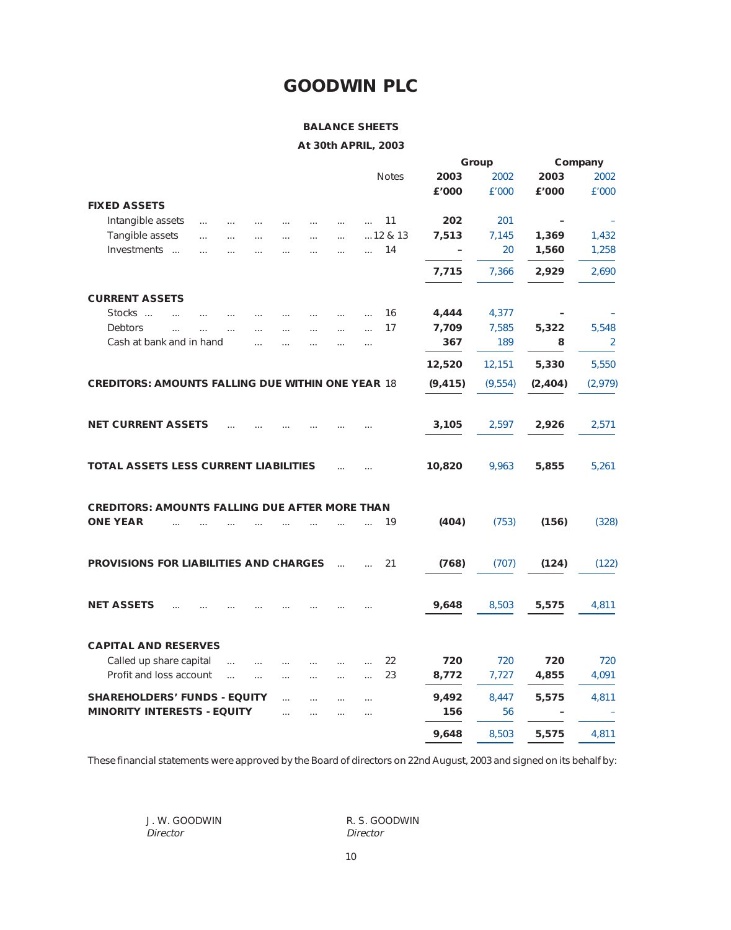# **BALANCE SHEETS**

# **At 30th APRIL, 2003**

|                                                          |          |           |           |           |              |          | Group    |          | Company |
|----------------------------------------------------------|----------|-----------|-----------|-----------|--------------|----------|----------|----------|---------|
|                                                          |          |           |           |           | <b>Notes</b> | 2003     | 2002     | 2003     | 2002    |
|                                                          |          |           |           |           |              | £'000    | £'000    | £'000    | £'000   |
| <b>FIXED ASSETS</b>                                      |          |           |           |           |              |          |          |          |         |
| Intangible assets<br>$\cdots$<br>$\ddotsc$<br>$\ddotsc$  | $\cdots$ | $\ddotsc$ | $\ddotsc$ | $\cdots$  | 11           | 202      | 201      |          |         |
| Tangible assets<br>$\cdots$<br>.<br>$\cdots$             | $\cdots$ | $\cdots$  | $\ddotsc$ |           | $12$ & 13    | 7,513    | 7,145    | 1,369    | 1,432   |
| Investments<br>$\cdots$<br>$\ddotsc$<br>$\cdots$         | $\cdots$ | $\cdots$  |           | $\cdots$  | 14           |          | 20       | 1,560    | 1,258   |
|                                                          |          |           |           |           |              | 7,715    | 7,366    | 2,929    | 2,690   |
| <b>CURRENT ASSETS</b>                                    |          |           |           |           |              |          |          |          |         |
| Stocks                                                   |          |           |           | $\ddotsc$ | 16           | 4,444    | 4,377    |          |         |
| <b>Debtors</b><br>$\cdots$<br>$\ddotsc$<br>$\cdots$      | $\cdots$ | $\cdots$  | $\cdots$  | $\cdots$  | 17           | 7,709    | 7,585    | 5,322    | 5,548   |
| Cash at bank and in hand<br>$\cdots$                     | .        | .         | $\cdots$  | .         |              | 367      | 189      | 8        | 2       |
|                                                          |          |           |           |           |              | 12,520   | 12,151   | 5,330    | 5,550   |
| <b>CREDITORS: AMOUNTS FALLING DUE WITHIN ONE YEAR 18</b> |          |           |           |           |              | (9, 415) | (9, 554) | (2, 404) | (2,979) |
|                                                          |          |           |           |           |              |          |          |          |         |
| <b>NET CURRENT ASSETS</b>                                |          |           |           |           |              | 3,105    | 2,597    | 2,926    | 2,571   |
| TOTAL ASSETS LESS CURRENT LIABILITIES                    |          |           |           |           |              | 10,820   | 9,963    | 5,855    | 5,261   |
| <b>CREDITORS: AMOUNTS FALLING DUE AFTER MORE THAN</b>    |          |           |           |           |              |          |          |          |         |
| <b>ONE YEAR</b>                                          |          |           |           |           | 19           | (404)    | (753)    | (156)    | (328)   |
| <b>PROVISIONS FOR LIABILITIES AND CHARGES</b>            |          |           |           |           | 21           | (768)    | (707)    | (124)    | (122)   |
| <b>NET ASSETS</b>                                        |          |           |           |           |              | 9,648    | 8,503    | 5,575    | 4,811   |
| <b>CAPITAL AND RESERVES</b>                              |          |           |           |           |              |          |          |          |         |
| Called up share capital<br>$\cdots$                      | $\cdots$ |           |           |           | 22           | 720      | 720      | 720      | 720     |
| Profit and loss account<br>$\cdots$<br>$\cdots$          | $\cdots$ | .         | $\cdots$  | $\cdots$  | 23           | 8,772    | 7,727    | 4,855    | 4,091   |
| <b>SHAREHOLDERS' FUNDS - EQUITY</b>                      | .        | .         | $\cdots$  | $\cdots$  |              | 9,492    | 8,447    | 5,575    | 4,811   |
| <b>MINORITY INTERESTS - EQUITY</b>                       | .        |           |           |           |              | 156      | 56       |          |         |
|                                                          |          |           |           |           |              | 9,648    | 8,503    | 5,575    | 4,811   |

These financial statements were approved by the Board of directors on 22nd August, 2003 and signed on its behalf by:

J. W. GOODWIN R. S. GOODWIN Birector

Director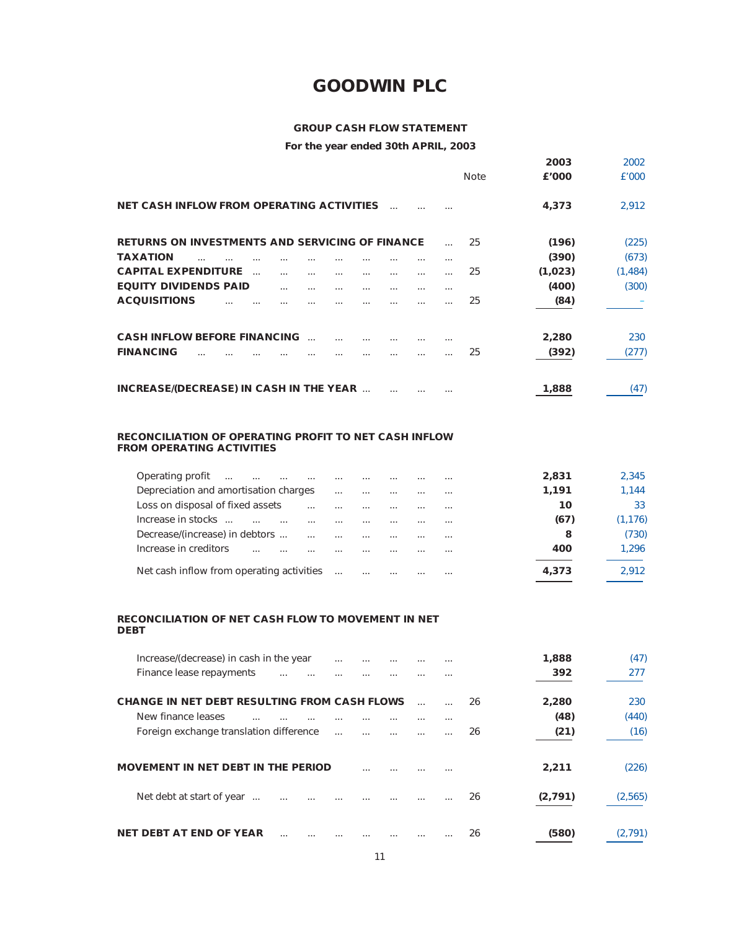# **GROUP CASH FLOW STATEMENT**

# **For the year ended 30th APRIL, 2003**

|                                                        |   |          |                      | <b>Note</b> | 2003<br>£'000 | 2002<br>£'000 |
|--------------------------------------------------------|---|----------|----------------------|-------------|---------------|---------------|
| <b>NET CASH INFLOW FROM OPERATING ACTIVITIES</b>       |   |          |                      |             | 4,373         | 2,912         |
| <b>RETURNS ON INVESTMENTS AND SERVICING OF FINANCE</b> |   |          |                      | 25          | (196)         | (225)         |
| <b>TAXATION</b><br>.                                   |   |          | $\cdots$<br>$\cdots$ |             | (390)         | (673)         |
| <b>CAPITAL EXPENDITURE</b><br>$\cdots$<br>.            |   |          | $\cdots$<br>$\cdots$ | 25          | (1,023)       | (1, 484)      |
| <b>EQUITY DIVIDENDS PAID</b><br>$\cdots$<br>$\cdots$   | . | $\cdots$ | $\cdots$<br>$\cdots$ |             | (400)         | (300)         |
| <b>ACQUISITIONS</b>                                    |   |          |                      | 25          | (84)          |               |
| <b>CASH INFLOW BEFORE FINANCING</b>                    |   |          | $\cdots$             |             | 2,280         | 230           |
| <b>FINANCING</b><br>.                                  |   |          | $\cdots$             | 25          | (392)         | (277)         |
| INCREASE/(DECREASE) IN CASH IN THE YEAR                |   |          | $\cdots$             |             | 1,888         | (47)          |

### **RECONCILIATION OF OPERATING PROFIT TO NET CASH INFLOW FROM OPERATING ACTIVITIES**

| Operating profit                                    |                   | $\cdots$ | $\cdots$ | $\cdots$ | $\cdots$ | 2,831 | 2.345    |
|-----------------------------------------------------|-------------------|----------|----------|----------|----------|-------|----------|
| Depreciation and amortisation charges               | $\dddotsc$        | $\cdots$ | $\cdots$ | $\cdots$ | $\cdots$ | 1.191 | 1.144    |
| Loss on disposal of fixed assets<br>$\cdots$        | $\cdots$          | $\cdots$ | $\cdots$ | $\cdots$ | $\cdots$ | 10    | 33       |
| Increase in stocks                                  |                   |          |          | $\cdots$ | $\cdots$ | (67)  | (1, 176) |
| Decrease/(increase) in debtors<br><b>Contractor</b> | $\cdots$          | $\cdots$ | $\cdots$ | $\cdots$ | $\cdots$ | 8     | (730)    |
| Increase in creditors                               | $\cdots$          | $\cdots$ | $\cdots$ | $\cdots$ | $\cdots$ | 400   | 1.296    |
| Net cash inflow from operating activities           | $\cdots$ $\cdots$ |          | $\cdots$ | $\cdots$ | $\cdots$ | 4,373 | 2.912    |

#### **RECONCILIATION OF NET CASH FLOW TO MOVEMENT IN NET DEBT**

| Increase/(decrease) in cash in the year                                                                                                       |          |  | .        |    | 1,888   | (47)    |
|-----------------------------------------------------------------------------------------------------------------------------------------------|----------|--|----------|----|---------|---------|
| Finance lease repayments                                                                                                                      |          |  |          |    | 392     | 277     |
| <b>CHANGE IN NET DEBT RESULTING FROM CASH FLOWS</b>                                                                                           |          |  |          | 26 | 2,280   | 230     |
| New finance leases                                                                                                                            |          |  | $\cdots$ |    | (48)    | (440)   |
| Foreign exchange translation difference<br>$\cdots$                                                                                           | $\cdots$ |  |          | 26 | (21)    | (16)    |
| <b>MOVEMENT IN NET DEBT IN THE PERIOD</b>                                                                                                     |          |  |          |    | 2,211   | (226)   |
| Net debt at start of year<br>and the company of the company of the company of the company of the company of the company of the company of the |          |  |          | 26 | (2,791) | (2,565) |
| <b>DEBT AT END OF YEAR</b><br>NE1                                                                                                             |          |  |          | 26 | (580)   | (2,791) |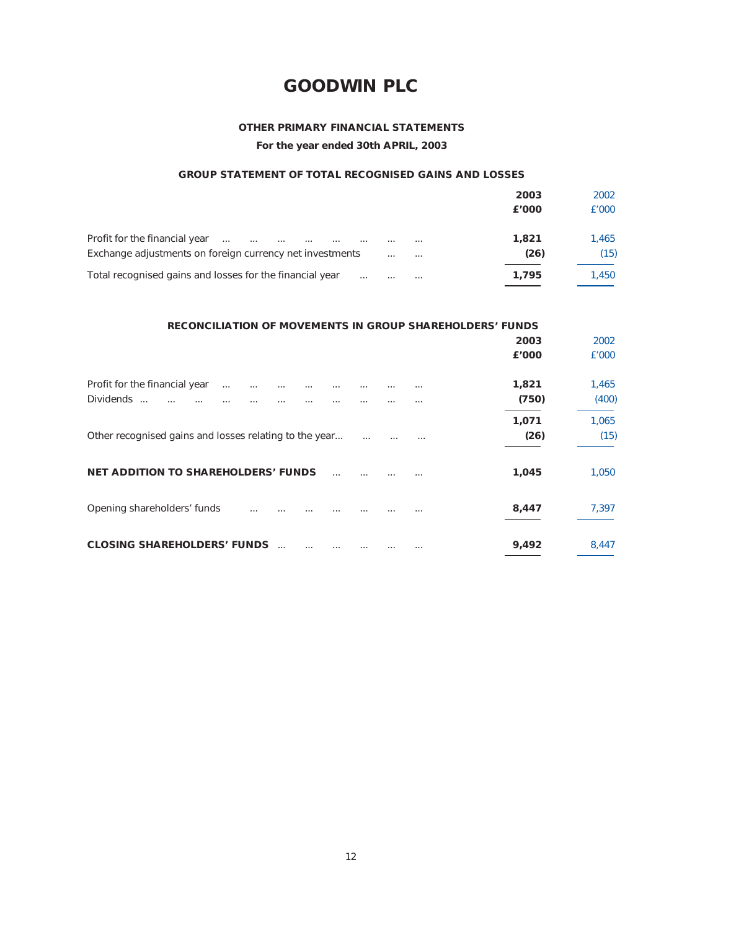# **OTHER PRIMARY FINANCIAL STATEMENTS**

# **For the year ended 30th APRIL, 2003**

# **GROUP STATEMENT OF TOTAL RECOGNISED GAINS AND LOSSES**

|                                                                                                                                                                                        | 2003<br>£'000 | 2002<br>£'000 |
|----------------------------------------------------------------------------------------------------------------------------------------------------------------------------------------|---------------|---------------|
| Profit for the financial year<br>$\cdots$<br><b>Contractor</b><br>$\cdots$<br>$\cdots$<br>$\cdots$<br>Exchange adjustments on foreign currency net investments<br>$\cdots$<br>$\cdots$ | 1,821<br>(26) | 1.465<br>(15) |
| Total recognised gains and losses for the financial year<br>$\cdots$<br>$\cdots$<br>$\cdots$                                                                                           | 1.795         | 1.450         |

| <b>RECONCILIATION OF MOVEMENTS IN GROUP SHAREHOLDERS' FUNDS</b> |       |       |
|-----------------------------------------------------------------|-------|-------|
|                                                                 | 2003  | 2002  |
|                                                                 | £'000 | £'000 |
| Profit for the financial year<br>$\cdots$<br>$\cdots$           | 1,821 | 1,465 |
| Dividends                                                       | (750) | (400) |
|                                                                 | 1,071 | 1,065 |
| Other recognised gains and losses relating to the year          | (26)  | (15)  |
| <b>NET ADDITION TO SHAREHOLDERS' FUNDS</b>                      | 1,045 | 1,050 |
| Opening shareholders' funds                                     | 8,447 | 7,397 |
| <b>CLOSING SHAREHOLDERS' FUNDS</b>                              | 9,492 | 8,447 |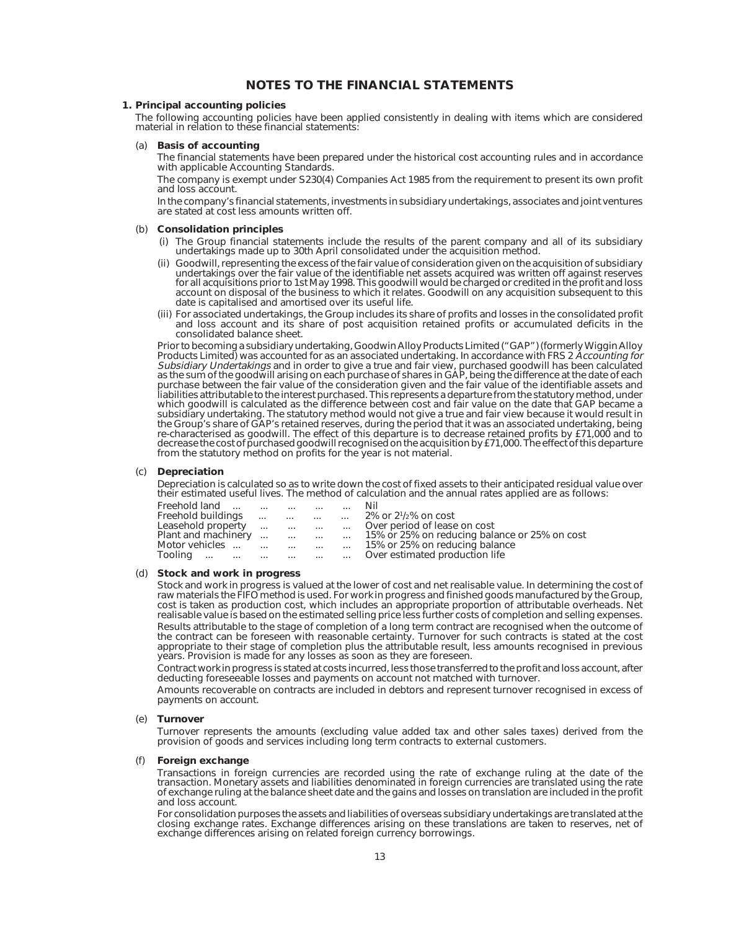# **NOTES TO THE FINANCIAL STATEMENTS**

#### **1. Principal accounting policies**

The following accounting policies have been applied consistently in dealing with items which are considered material in relation to these financial statements:

#### **Basis of accounting**

The financial statements have been prepared under the historical cost accounting rules and in accordance with applicable Accounting Standards.

The company is exempt under S230(4) Companies Act 1985 from the requirement to present its own profit and loss account.

In the company's financial statements, investments in subsidiary undertakings, associates and joint ventures are stated at cost less amounts written off.

#### (b) **Consolidation principles**

- (i) The Group financial statements include the results of the parent company and all of its subsidiary undertakings made up to 30th April consolidated under the acquisition method.
- (ii) Goodwill, representing the excess of the fair value of consideration given on the acquisition of subsidiary undertakings over the fair value of the identifiable net assets acquired was written off against reserves for all acquisitions prior to 1st May 1998. This goodwill would be charged or credited in the profit and loss account on disposal of the business to which it relates. Goodwill on any acquisition subsequent to this date is capitalised and amortised over its useful life.
- (iii) For associated undertakings, the Group includes its share of profits and losses in the consolidated profit and loss account and its share of post acquisition retained profits or accumulated deficits in the consolidated balance sheet.

Prior to becoming a subsidiary undertaking, Goodwin Alloy Products Limited ("GAP") (formerly Wiggin Alloy Products Limited) was accounted for as an associated undertaking. In accordance with FRS 2 Accounting for Subsidiary Undertakings and in order to give a true and fair view, purchased goodwill has been calculated as the sum of the goodwill arising on each purchase of shares in GAP, being the difference at the date of each purchase between the fair value of the consideration given and the fair value of the identifiable assets and liabilities attributable to the interest purchased. This represents a departure from the statutory method, under which goodwill is calculated as the difference between cost and fair value on the date that GAP became a subsidiary undertaking. The statutory method would not give a true and fair view because it would result in the Group's share of GAP's retained reserves, during the period that it was an associated undertaking, being re-characterised as goodwill. The effect of this departure is to decrease retained profits by £71,000 and to decrease the cost of purchased goodwill recognised on the acquisition by £71,000. The effect of this departure from the statutory method on profits for the year is not material.

#### (c) **Depreciation**

Depreciation is calculated so as to write down the cost of fixed assets to their anticipated residual value over their estimated useful lives. The method of calculation and the annual rates applied are as follows:

| Freehold land                                         | .        | $\cdots$                      | $\cdots$                    | $\cdots$ | Nil                                           |
|-------------------------------------------------------|----------|-------------------------------|-----------------------------|----------|-----------------------------------------------|
| Freehold buildings                                    | $\cdots$ | $\cdots$                      | $\sim$ $\sim$ $\sim$ $\sim$ | $\cdots$ | 2% or $2\frac{1}{2}$ % on cost                |
| Leasehold property                                    |          | and the state of the state of |                             | $\cdots$ | Over period of lease on cost                  |
| Plant and machinery                                   |          |                               |                             | $\cdots$ | 15% or 25% on reducing balance or 25% on cost |
| Motor vehicles                                        |          |                               | $\cdots$                    | $\cdots$ | 15% or 25% on reducing balance                |
| Tooling<br>and the state of the state of the state of |          |                               | $\sim$ $\sim$ $\sim$ $\sim$ | $\cdots$ | Over estimated production life                |
|                                                       |          |                               |                             |          |                                               |

#### (d) **Stock and work in progress**

Stock and work in progress is valued at the lower of cost and net realisable value. In determining the cost of raw materials the FIFO method is used. For work in progress and finished goods manufactured by the Group, cost is taken as production cost, which includes an appropriate proportion of attributable overheads. Net realisable value is based on the estimated selling price less further costs of completion and selling expenses. Results attributable to the stage of completion of a long term contract are recognised when the outcome of the contract can be foreseen with reasonable certainty. Turnover for such contracts is stated at the cost appropriate to their stage of completion plus the attributable result, less amounts recognised in previous years. Provision is made for any losses as soon as they are foreseen.

Contract work in progress is stated at costs incurred, less those transferred to the profit and loss account, after deducting foreseeable losses and payments on account not matched with turnover.

Amounts recoverable on contracts are included in debtors and represent turnover recognised in excess of payments on account.

#### (e) **Turnover**

Turnover represents the amounts (excluding value added tax and other sales taxes) derived from the provision of goods and services including long term contracts to external customers.

#### (f) **Foreign exchange**

Transactions in foreign currencies are recorded using the rate of exchange ruling at the date of the transaction. Monetary assets and liabilities denominated in foreign currencies are translated using the rate of exchange ruling at the balance sheet date and the gains and losses on translation are included in the profit and loss account.

For consolidation purposes the assets and liabilities of overseas subsidiary undertakings are translated at the closing exchange rates. Exchange differences arising on these translations are taken to reserves, net of exchange differences arising on related foreign currency borrowings.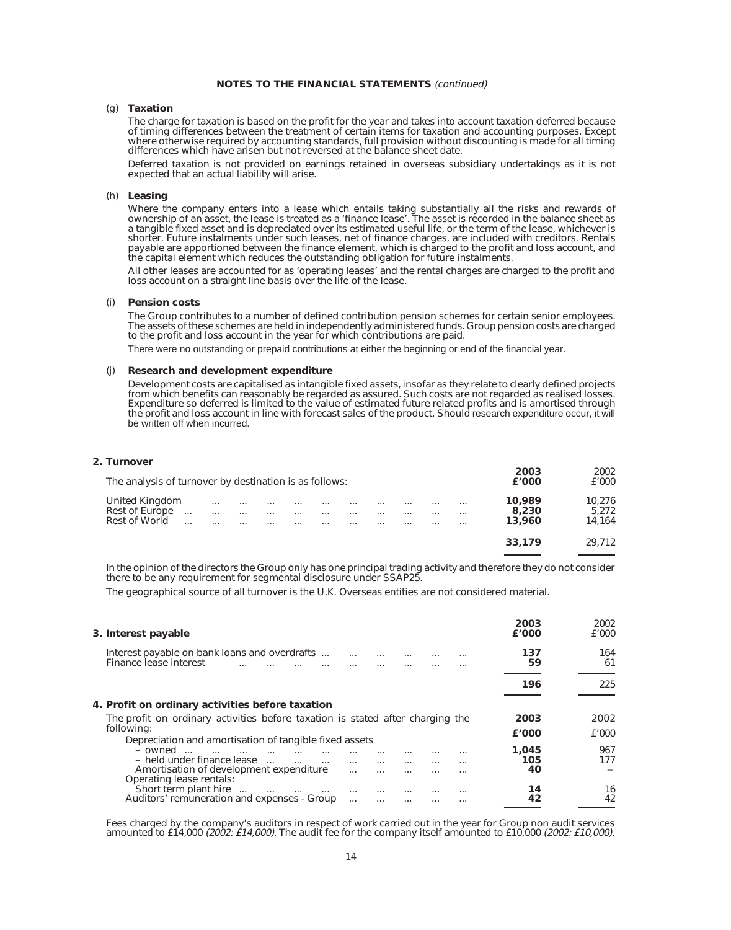#### (g) **Taxation**

The charge for taxation is based on the profit for the year and takes into account taxation deferred because of timing differences between the treatment of certain items for taxation and accounting purposes. Except where otherwise required by accounting standards, full provision without discounting is made for all timing differences which have arisen but not reversed at the balance sheet date.

Deferred taxation is not provided on earnings retained in overseas subsidiary undertakings as it is not expected that an actual liability will arise.

#### (h) **Leasing**

Where the company enters into a lease which entails taking substantially all the risks and rewards of ownership of an asset, the lease is treated as a 'finance lease'. The asset is recorded in the balance sheet as a tangible fixed asset and is depreciated over its estimated useful life, or the term of the lease, whichever is shorter. Future instalments under such leases, net of finance charges, are included with creditors. Rentals payable are apportioned between the finance element, which is charged to the profit and loss account, and the capital element which reduces the outstanding obligation for future instalments.

All other leases are accounted for as 'operating leases' and the rental charges are charged to the profit and loss account on a straight line basis over the life of the lease.

#### (i) **Pension costs**

The Group contributes to a number of defined contribution pension schemes for certain senior employees. The assets of these schemes are held in independently administered funds. Group pension costs are charged to the profit and loss account in the year for which contributions are paid.

There were no outstanding or prepaid contributions at either the beginning or end of the financial year.

#### (j) **Research and development expenditure**

Development costs are capitalised as intangible fixed assets, insofar as they relate to clearly defined projects from which benefits can reasonably be regarded as assured. Such costs are not regarded as realised losses. Expenditure so deferred is limited to the value of estimated future related profits and is amortised through the profit and loss account in line with forecast sales of the product. Should research expenditure occur, it will be written off when incurred.

| 2. Turnover                                            |                      |                      |                      |                      |                      |                      |                      |                      |                      |                      |                      |                 |                 |
|--------------------------------------------------------|----------------------|----------------------|----------------------|----------------------|----------------------|----------------------|----------------------|----------------------|----------------------|----------------------|----------------------|-----------------|-----------------|
| The analysis of turnover by destination is as follows: |                      |                      | 2003<br>£'000        | 2002<br>£'000        |                      |                      |                      |                      |                      |                      |                      |                 |                 |
| United Kingdom                                         |                      | $\cdots$             | $\cdots$             | $\cdots$             | $\cdots$             | $\cdots$             | $\cdots$             |                      | $\cdots$             | $\cdots$             | $\cdots$             | 10,989          | 10,276          |
| Rest of Europe<br>Rest of World                        | $\cdots$<br>$\cdots$ | $\cdots$<br>$\cdots$ | $\cdots$<br>$\cdots$ | $\cdots$<br>$\cdots$ | $\cdots$<br>$\cdots$ | $\cdots$<br>$\cdots$ | $\cdots$<br>$\cdots$ | $\cdots$<br>$\cdots$ | $\cdots$<br>$\cdots$ | $\cdots$<br>$\cdots$ | $\cdots$<br>$\cdots$ | 8,230<br>13,960 | 5,272<br>14,164 |
|                                                        |                      |                      |                      |                      |                      |                      |                      |                      |                      |                      |                      | 33,179          | 29.712          |

In the opinion of the directors the Group only has one principal trading activity and therefore they do not consider there to be any requirement for segmental disclosure under SSAP25.

The geographical source of all turnover is the U.K. Overseas entities are not considered material.

| 3. Interest payable                                                                                                    | 2003<br>£'000 | 2002<br>£'000 |
|------------------------------------------------------------------------------------------------------------------------|---------------|---------------|
| Interest payable on bank loans and overdrafts<br>$\cdots$<br>Finance lease interest<br>$\cdots$<br>$\cdots$            | 137<br>59     | 164<br>61     |
|                                                                                                                        | 196           | 225           |
| 4. Profit on ordinary activities before taxation                                                                       |               |               |
| The profit on ordinary activities before taxation is stated after charging the                                         | 2003          | 2002          |
| following:<br>Depreciation and amortisation of tangible fixed assets                                                   | £'000         | £'000         |
| $-$ owned<br>$\cdots$                                                                                                  | 1,045         | 967           |
| - held under finance lease<br>and the contract of the con-<br>$\cdots$<br>$\cdots$<br>$\cdots$<br>$\cdots$<br>$\cdots$ | 105           | 177           |
| Amortisation of development expenditure<br>$\cdots$<br>$\cdots$                                                        | 40            |               |
| Operating lease rentals:<br>Short term plant hire<br>$\cdots$<br>$\cdots$                                              | 14            | 16            |
| Auditors' remuneration and expenses - Group<br>$\cdots$                                                                | 42            | 42            |

Fees charged by the company's auditors in respect of work carried out in the year for Group non audit services<br>amounted to £14,000 *(2002: £14,000).* The audit fee for the company itself amounted to £10,000 *(2002: £10,000*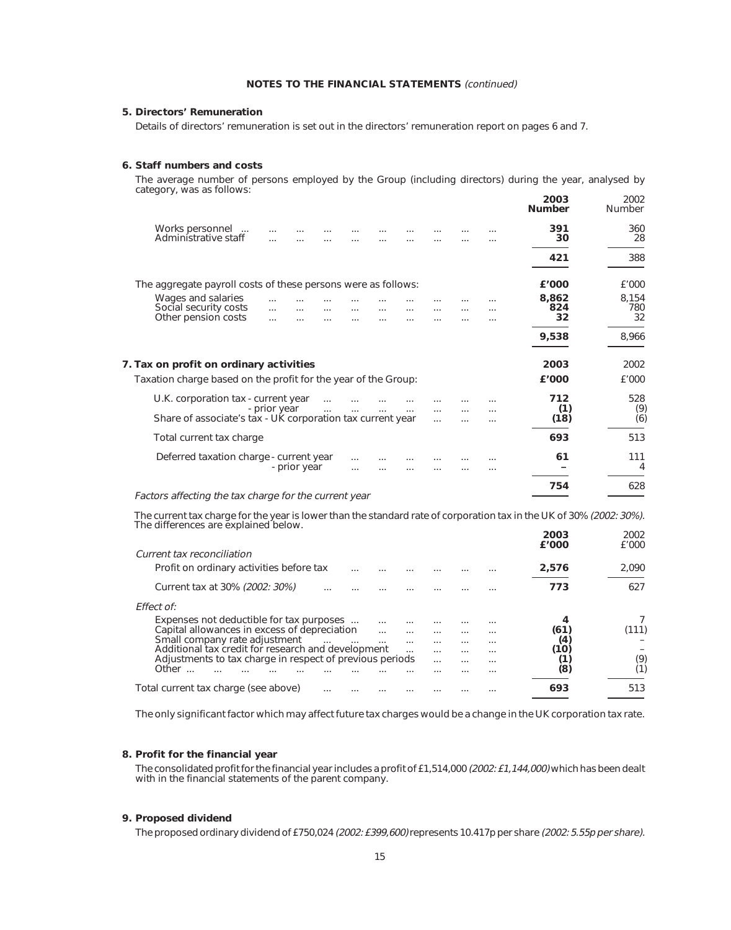## **5. Directors' Remuneration**

Details of directors' remuneration is set out in the directors' remuneration report on pages 6 and 7.

## **6. Staff numbers and costs**

The average number of persons employed by the Group (including directors) during the year, analysed by category, was as follows:

|                                                                                                                                                              |              |              |                      |                      |                                    |               |                      |          |          | 2003<br><b>Number</b> | 2002<br><b>Number</b> |
|--------------------------------------------------------------------------------------------------------------------------------------------------------------|--------------|--------------|----------------------|----------------------|------------------------------------|---------------|----------------------|----------|----------|-----------------------|-----------------------|
| Works personnel<br>Administrative staff                                                                                                                      | $\cdots$     |              |                      |                      |                                    |               |                      |          |          | 391<br>30             | 360<br>28             |
|                                                                                                                                                              |              |              |                      |                      |                                    |               |                      |          |          | 421                   | 388                   |
| The aggregate payroll costs of these persons were as follows:                                                                                                |              |              |                      |                      |                                    |               |                      |          |          | £'000                 | £'000                 |
| Wages and salaries                                                                                                                                           | $\cdots$     | .            | $\cdots$             |                      |                                    |               |                      |          |          | 8,862                 | 8,154                 |
| Social security costs                                                                                                                                        | $\cdots$     |              | $\cdots$             | $\cdots$             | $\cdots$                           | $\cdots$      |                      |          | $\cdots$ | 824                   | 780                   |
| Other pension costs                                                                                                                                          | $\cdots$     | $\cdots$     | $\cdots$             | $\cdots$             | $\cdots$                           | $\cdots$      | $\cdots$             |          | $\cdots$ | 32                    | 32                    |
|                                                                                                                                                              |              |              |                      |                      |                                    |               |                      |          |          | 9,538                 | 8,966                 |
| 7. Tax on profit on ordinary activities                                                                                                                      |              |              |                      |                      |                                    |               |                      |          |          | 2003                  | 2002                  |
| Taxation charge based on the profit for the year of the Group:                                                                                               |              |              |                      |                      |                                    |               |                      |          |          | £'000                 | £'000                 |
|                                                                                                                                                              |              |              |                      |                      |                                    |               |                      |          |          |                       |                       |
| U.K. corporation tax - current year                                                                                                                          |              |              | $\cdots$             |                      | $\cdots$                           | $\cdots$      |                      |          |          | 712                   | 528                   |
| Share of associate's tax - UK corporation tax current year                                                                                                   | - prior year |              | $\cdots$             | and the state of     |                                    | $\cdots$      | $\cdots$<br>$\cdots$ | $\cdots$ |          | (1)<br>(18)           | (9)<br>(6)            |
| Total current tax charge                                                                                                                                     |              |              |                      |                      |                                    |               |                      |          |          | 693                   | 513                   |
| Deferred taxation charge - current year                                                                                                                      |              | - prior year |                      | $\cdots$<br>$\cdots$ |                                    |               |                      |          |          | 61                    | 111<br>4              |
|                                                                                                                                                              |              |              |                      |                      |                                    |               |                      |          |          | 754                   | 628                   |
| Factors affecting the tax charge for the current year                                                                                                        |              |              |                      |                      |                                    |               |                      |          |          |                       |                       |
| The current tax charge for the year is lower than the standard rate of corporation tax in the UK of 30% (2002: 30%).<br>The differences are explained below. |              |              |                      |                      |                                    |               |                      |          |          |                       |                       |
|                                                                                                                                                              |              |              |                      |                      |                                    |               |                      |          |          | 2003<br>£'000         | 2002<br>£'000         |
| Current tax reconciliation                                                                                                                                   |              |              |                      |                      |                                    |               |                      |          |          |                       |                       |
| Profit on ordinary activities before tax                                                                                                                     |              |              |                      |                      |                                    |               |                      |          |          | 2,576                 | 2,090                 |
| Current tax at 30% (2002: 30%)                                                                                                                               |              |              |                      |                      |                                    |               |                      |          | .        | 773                   | 627                   |
| Effect of:                                                                                                                                                   |              |              |                      |                      |                                    |               |                      |          |          |                       |                       |
| Expenses not deductible for tax purposes                                                                                                                     |              |              |                      |                      | $\cdots$                           | $\cdots$      |                      |          |          | 4                     | 7                     |
| Capital allowances in excess of depreciation                                                                                                                 |              |              |                      |                      | $\mathbf{1},\mathbf{2},\mathbf{3}$ | $\cdots$      |                      |          |          | (61)                  | (111)                 |
| Small company rate adjustment                                                                                                                                |              |              | $\sim$ $\sim$ $\sim$ | $\cdots$             | $\cdots$                           | $\cdots$      |                      |          |          | (4)                   |                       |
| Additional tax credit for research and development                                                                                                           |              |              |                      |                      |                                    | $\sim$ $\sim$ | $\cdots$             | $\cdots$ | .        | (10)                  | (9)                   |
| Adjustments to tax charge in respect of previous periods                                                                                                     |              |              |                      |                      |                                    |               | $\cdots$             | $\cdots$ | $\cdots$ | (1)                   |                       |

The only significant factor which may affect future tax charges would be a change in the UK corporation tax rate.

Other ... ... ... ... ... ... ... ... ... ... ... ... **(8)** (1) Total current tax charge (see above) ... ... ... ... ... ... ... **693** 513

# **8. Profit for the financial year**

The consolidated profit for the financial year includes a profit of £1,514,000 (2002: £1,144,000) which has been dealt with in the financial statements of the parent company.

# **9. Proposed dividend**

The proposed ordinary dividend of £750,024 (2002: £399,600) represents 10.417p per share (2002: 5.55p per share).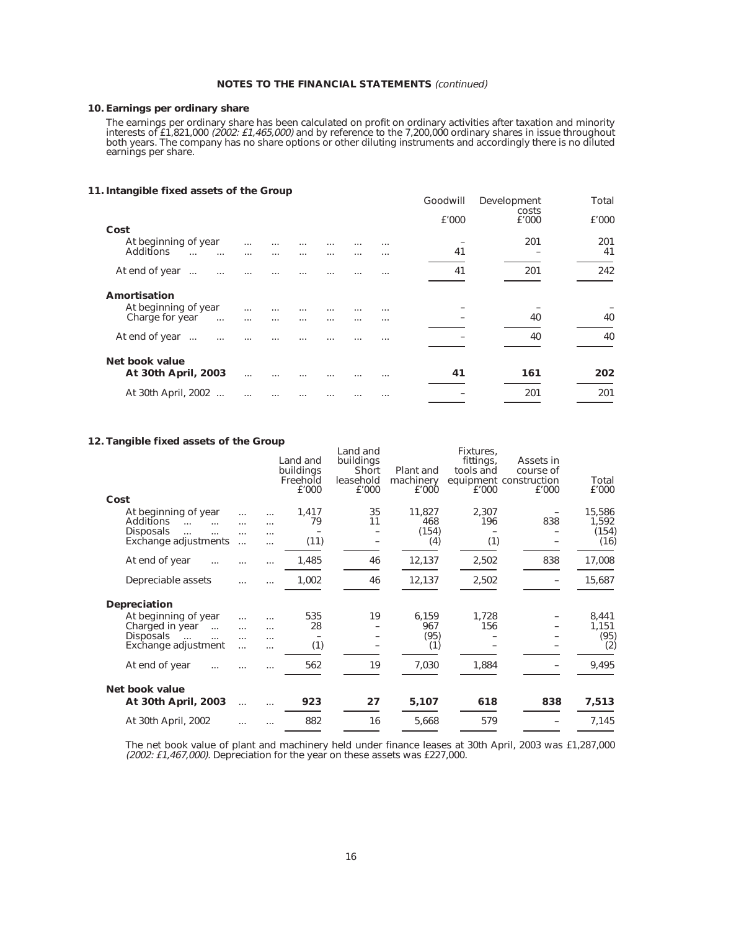## **10. Earnings per ordinary share**

The earnings per ordinary share has been calculated on profit on ordinary activities after taxation and minority<br>interests of £1,821,000 *(2002: £1,465,000)* and by reference to the 7,200,000 ordinary shares in issue throu both years. The company has no share options or other diluting instruments and accordingly there is no diluted earnings per share.

## **11. Intangible fixed assets of the Group**

|                      |                             |                      |                   |               |                      |          |          |          | Goodwill | Development    | Total |
|----------------------|-----------------------------|----------------------|-------------------|---------------|----------------------|----------|----------|----------|----------|----------------|-------|
|                      |                             |                      |                   |               |                      |          |          |          | £'000    | costs<br>£'000 | £'000 |
| Cost                 |                             |                      |                   |               |                      |          |          |          |          |                |       |
| At beginning of year |                             |                      | <b>Second</b>     | $\cdots$      | $\cdots$             | $\cdots$ | $\cdots$ | $\cdots$ |          | 201            | 201   |
| Additions            | $\sim$ $\sim$ $\sim$ $\sim$ |                      | $\cdots$          | $\cdots$      | $\cdots$             | .        | $\cdots$ | .        | 41       |                | 41    |
| At end of year       |                             | $\sim$ $\sim$ $\sim$ | $\cdots$          | $\sim$ $\sim$ | $\sim$ $\sim$ $\sim$ |          |          | $\cdots$ | 41       | 201            | 242   |
| Amortisation         |                             |                      |                   |               |                      |          |          |          |          |                |       |
| At beginning of year |                             |                      | <b>Contractor</b> | $\cdots$      | $\cdots$             | $\cdots$ | $\cdots$ | $\cdots$ |          |                |       |
| Charge for year      |                             | <b>Service State</b> | $\cdots$          | $\cdots$      | $\cdots$             | $\cdots$ | $\cdots$ |          |          | 40             | 40    |
| At end of year       |                             | $\sim$ 100 $\mu$     |                   | and the state | $\cdots$             |          |          | $\cdots$ |          | 40             | 40    |
| Net book value       |                             |                      |                   |               |                      |          |          |          |          |                |       |
| At 30th April, 2003  |                             |                      | $\cdots$          |               |                      |          |          | $\cdots$ | 41       | 161            | 202   |
| At 30th April, 2002  |                             |                      | $\cdots$          |               |                      |          | .        | $\cdots$ |          | 201            | 201   |

## **12. Tangible fixed assets of the Group**

|      |                                                                                                   |                                    |                    | Land and<br>buildings<br>Freehold<br>£'000 | Land and<br>buildings<br>Short<br>leasehold<br>£'000 | Plant and<br>machinery<br>£'000 | Fixtures,<br>fittings,<br>tools and<br>£'000 | Assets in<br>course of<br>equipment construction<br>£'000 | Total<br>£'000         |
|------|---------------------------------------------------------------------------------------------------|------------------------------------|--------------------|--------------------------------------------|------------------------------------------------------|---------------------------------|----------------------------------------------|-----------------------------------------------------------|------------------------|
| Cost |                                                                                                   |                                    |                    |                                            |                                                      |                                 |                                              |                                                           |                        |
|      | At beginning of year<br>Additions<br>$\ddotsc$                                                    | $\cdots$                           | .<br>$\cdots$      | 1,417<br>79                                | 35<br>11                                             | 11,827<br>468                   | 2,307<br>196                                 | 838                                                       | 15,586<br>1,592        |
|      | <b>Disposals</b><br>$\cdots$<br>$\cdots$<br>Exchange adjustments                                  | $\cdots$<br>$\cdots$               | $\cdots$<br>.      | (11)                                       |                                                      | (154)<br>(4)                    | (1)                                          |                                                           | (154)<br>(16)          |
|      | At end of year                                                                                    | .                                  |                    | 1,485                                      | 46                                                   | 12,137                          | 2,502                                        | 838                                                       | 17,008                 |
|      | Depreciable assets                                                                                | $\cdots$                           | $\cdots$           | 1,002                                      | 46                                                   | 12,137                          | 2,502                                        |                                                           | 15,687                 |
|      | <b>Depreciation</b>                                                                               |                                    |                    |                                            |                                                      |                                 |                                              |                                                           |                        |
|      | At beginning of year<br>Charged in year<br>$\dddotsc$<br><b>Disposals</b><br>$\cdots$<br>$\cdots$ | $\cdots$<br>$\dddotsc$<br>$\cdots$ | .<br>$\cdots$<br>. | 535<br>28                                  | 19                                                   | 6,159<br>967<br>(95)            | 1,728<br>156                                 |                                                           | 8,441<br>1,151<br>(95) |
|      | Exchange adjustment                                                                               | $\cdots$                           | $\cdots$           | (1)                                        |                                                      | (1)                             |                                              |                                                           | (2)                    |
|      | At end of year<br>$\cdots$                                                                        |                                    | .                  | 562                                        | 19                                                   | 7,030                           | 1,884                                        |                                                           | 9,495                  |
|      | Net book value                                                                                    |                                    |                    |                                            |                                                      |                                 |                                              |                                                           |                        |
|      | At 30th April, 2003                                                                               | $\cdots$                           |                    | 923                                        | 27                                                   | 5,107                           | 618                                          | 838                                                       | 7,513                  |
|      | At 30th April, 2002                                                                               | $\cdots$                           | .                  | 882                                        | 16                                                   | 5,668                           | 579                                          |                                                           | 7,145                  |

The net book value of plant and machinery held under finance leases at 30th April, 2003 was £1,287,000 (2002: £1,467,000). Depreciation for the year on these assets was £227,000.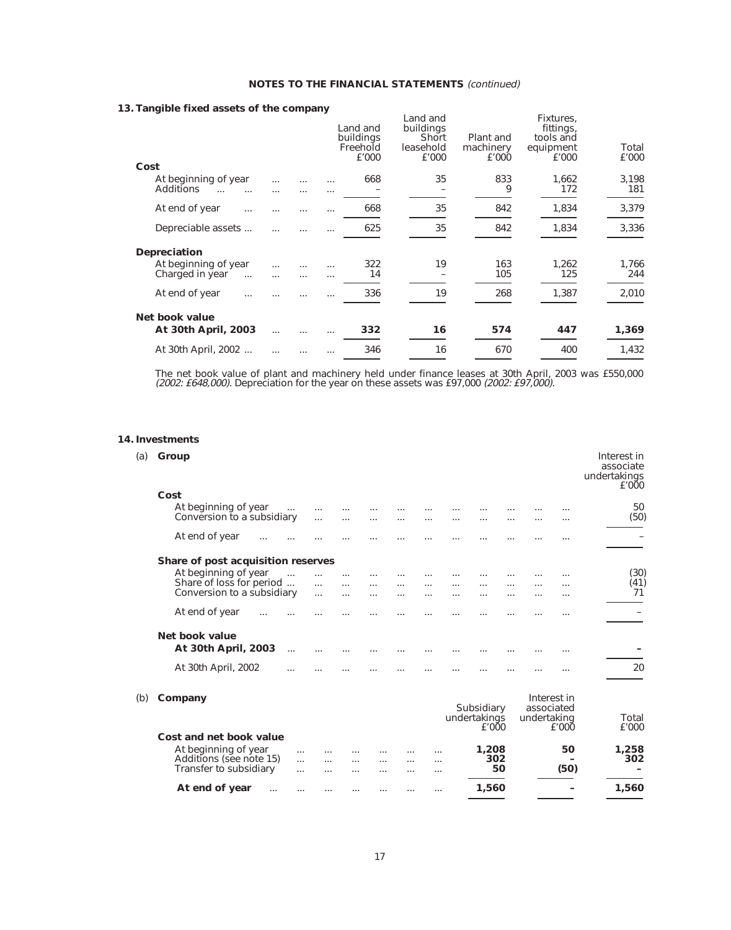# **13. Tangible fixed assets of the company**

| Cost |                             |          |          |          | Land and<br>buildings<br>Freehold<br>£'000 | Land and<br>buildings<br>Short<br>leasehold<br>£'000 | Plant and<br>machinery<br>£'000 | Fixtures,<br>fittings,<br>tools and<br>equipment<br>£'000 | Total<br>£'000 |
|------|-----------------------------|----------|----------|----------|--------------------------------------------|------------------------------------------------------|---------------------------------|-----------------------------------------------------------|----------------|
|      | At beginning of year        | $\cdots$ |          | $\cdots$ | 668                                        | 35                                                   | 833                             | 1,662                                                     | 3,198          |
|      | Additions                   | $\cdots$ | $\cdots$ | $\cdots$ |                                            |                                                      | 9                               | 172                                                       | 181            |
|      | At end of year<br>          |          | $\cdots$ | $\cdots$ | 668                                        | 35                                                   | 842                             | 1,834                                                     | 3,379          |
|      | Depreciable assets          | $\cdots$ |          | $\cdots$ | 625                                        | 35                                                   | 842                             | 1,834                                                     | 3,336          |
|      | Depreciation                |          |          |          |                                            |                                                      |                                 |                                                           |                |
|      | At beginning of year        | $\cdots$ |          | $\cdots$ | 322                                        | 19                                                   | 163                             | 1,262                                                     | 1,766          |
|      | Charged in year<br>$\cdots$ | $\cdots$ | .        | $\cdots$ | 14                                         |                                                      | 105                             | 125                                                       | 244            |
|      | At end of year<br>$\cdots$  |          |          | $\cdots$ | 336                                        | 19                                                   | 268                             | 1,387                                                     | 2,010          |
|      | Net book value              |          |          |          |                                            |                                                      |                                 |                                                           |                |
|      | At 30th April, 2003         | $\cdots$ |          | $\cdots$ | 332                                        | 16                                                   | 574                             | 447                                                       | 1,369          |
|      | At 30th April, 2002         | $\cdots$ |          | $\cdots$ | 346                                        | 16                                                   | 670                             | 400                                                       | 1,432          |

The net book value of plant and machinery held under finance leases at 30th April, 2003 was £550,000<br>(2002: £648,000). Depreciation for the year on these assets was £97,000 (2002: £97,000).

## **14. Investments**

| (a) | Group                                        |          |          |          |          |          |          |          |            |   |            |             | Interest in<br>associate<br>undertakings<br>£'000 |
|-----|----------------------------------------------|----------|----------|----------|----------|----------|----------|----------|------------|---|------------|-------------|---------------------------------------------------|
|     | Cost                                         |          |          |          |          |          |          |          |            |   |            |             |                                                   |
|     | At beginning of year                         | $\cdots$ | $\cdots$ | .        | $\cdots$ |          |          |          |            |   |            | .           | 50                                                |
|     | Conversion to a subsidiary                   |          | $\cdots$ |          | $\cdots$ | $\cdots$ | $\cdots$ | $\cdots$ | .          | . | .          | $\cdots$    | (50)                                              |
|     | At end of year<br>$\cdots$                   |          |          | .        | .        | .        | $\cdots$ |          |            |   |            | .           |                                                   |
|     | Share of post acquisition reserves           |          |          |          |          |          |          |          |            |   |            |             |                                                   |
|     | At beginning of year                         | $\ldots$ | $\cdots$ |          |          |          |          |          |            |   |            | .           | (30)                                              |
|     | Share of loss for period                     |          | $\cdots$ | $\cdots$ | $\cdots$ | $\cdots$ | $\cdots$ | .        | .          | . | .          |             | (41)                                              |
|     | Conversion to a subsidiary                   |          | $\cdots$ | .        |          |          | $\cdots$ | .        | .          | . | .          | .           | 71                                                |
|     | At end of year<br>$\cdots$                   |          |          | .        |          |          |          |          |            |   |            | .           |                                                   |
|     | <b>Net book value</b><br>At 30th April, 2003 | .        |          |          |          |          |          |          |            |   |            | $\cdots$    |                                                   |
|     |                                              |          |          |          |          |          |          |          |            |   |            |             |                                                   |
|     | At 30th April, 2002                          | .        | .        | .        |          | .        | .        | $\cdots$ | .          | . | .          | $\cdots$    | 20                                                |
| (b) | Company                                      |          |          |          |          |          |          |          | Subsidiary |   | hetsioness | Interest in |                                                   |

|          |          |          |          |          |          | Subsidiary<br>£'000 | associated<br>undertaking<br>£'000 | Total<br>£'000 |
|----------|----------|----------|----------|----------|----------|---------------------|------------------------------------|----------------|
|          |          |          |          |          |          |                     |                                    |                |
| $\cdots$ | $\cdots$ | $\cdots$ | $\cdots$ | $\cdots$ | $\cdots$ | 1,208               | 50                                 | 1,258          |
| $\cdots$ | $\cdots$ | $\cdots$ | $\cdots$ | $\cdots$ | $\cdots$ | 302                 |                                    | 302            |
| $\cdots$ | $\cdots$ | $\cdots$ | $\cdots$ | $\cdots$ | $\cdots$ | 50                  | (50)                               |                |
| $\cdots$ | $\cdots$ | $\cdots$ | $\cdots$ | $\cdots$ | $\cdots$ | 1,560               |                                    | 1,560          |
|          |          |          |          |          |          |                     | undertakings                       |                |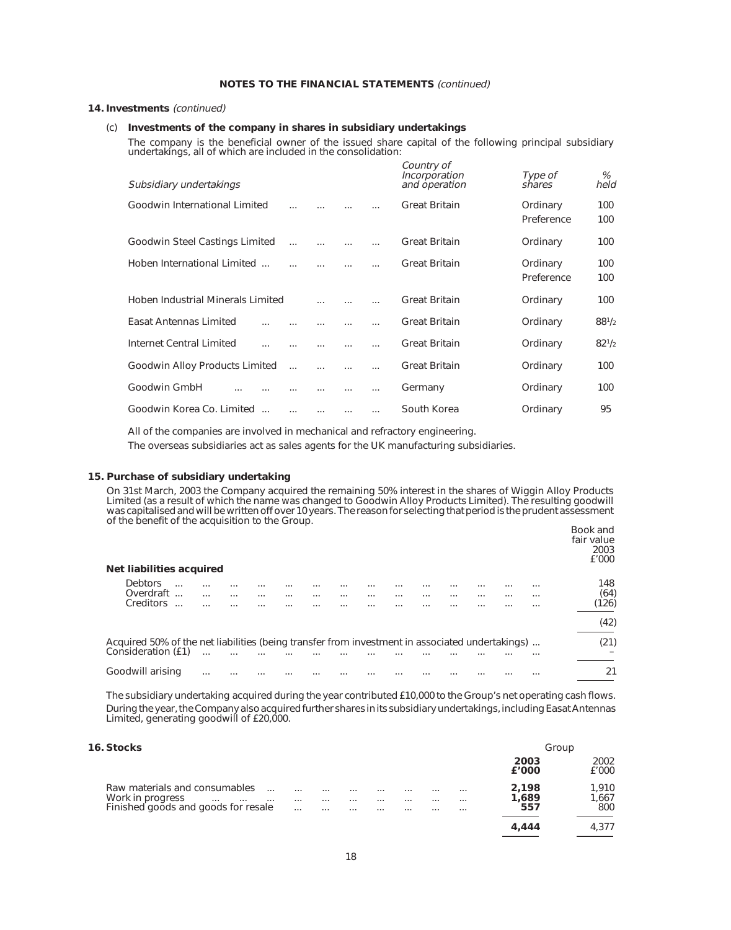### **14. Investments** (continued)

## (c) **Investments of the company in shares in subsidiary undertakings**

The company is the beneficial owner of the issued share capital of the following principal subsidiary undertakings, all of which are included in the consolidation: Country of

| Subsidiary undertakings              |          |  |          | Country of<br>Incorporation<br>and operation | Type of<br>shares      | %<br>held  |
|--------------------------------------|----------|--|----------|----------------------------------------------|------------------------|------------|
| <b>Goodwin International Limited</b> |          |  | $\cdots$ | <b>Great Britain</b>                         | Ordinary<br>Preference | 100<br>100 |
| Goodwin Steel Castings Limited       |          |  | $\cdots$ | <b>Great Britain</b>                         | Ordinary               | 100        |
| Hoben International Limited          |          |  |          | <b>Great Britain</b>                         | Ordinary<br>Preference | 100<br>100 |
| Hoben Industrial Minerals Limited    |          |  |          | <b>Great Britain</b>                         | Ordinary               | 100        |
| <b>Easat Antennas Limited</b>        |          |  |          | <b>Great Britain</b>                         | Ordinary               | $88^{1/2}$ |
| Internet Central Limited             |          |  | $\cdots$ | <b>Great Britain</b>                         | Ordinary               | $82^{1/2}$ |
| Goodwin Alloy Products Limited       |          |  |          | <b>Great Britain</b>                         | Ordinary               | 100        |
| Goodwin GmbH<br>$\cdots$             |          |  | $\cdots$ | Germany                                      | Ordinary               | 100        |
| Goodwin Korea Co. Limited            | $\cdots$ |  | $\cdots$ | South Korea                                  | Ordinary               | 95         |

All of the companies are involved in mechanical and refractory engineering.

The overseas subsidiaries act as sales agents for the UK manufacturing subsidiaries.

#### **15. Purchase of subsidiary undertaking**

On 31st March, 2003 the Company acquired the remaining 50% interest in the shares of Wiggin Alloy Products Limited (as a result of which the name was changed to Goodwin Alloy Products Limited). The resulting goodwill was capitalised and will be written off over 10 years. The reason for selecting that period is the prudent assessment of the benefit of the acquisition to the Group.

| Net liabilities acquired                                                                        |          |          |          |          |          |          |          |          |          |          |   |          |          | Book and<br>fair value<br>2003<br>£'000 |
|-------------------------------------------------------------------------------------------------|----------|----------|----------|----------|----------|----------|----------|----------|----------|----------|---|----------|----------|-----------------------------------------|
| <b>Debtors</b><br>$\cdot$ $\cdot$ $\cdot$                                                       | $\cdots$ | .        | .        |          | $\cdots$ |          |          |          | .        |          | . | $\cdots$ | $\cdots$ | 148                                     |
| Overdraft                                                                                       | $\cdots$ | $\cdots$ | $\cdots$ | $\cdots$ | $\cdots$ | $\cdots$ | $\cdots$ | $\cdots$ | $\cdots$ |          | . | $\cdots$ | $\cdots$ | (64)                                    |
| Creditors                                                                                       | $\cdots$ | .        | $\cdots$ |          | $\cdots$ |          | $\cdots$ | $\cdots$ |          | $\cdots$ |   | $\cdots$ | $\cdots$ | (126)                                   |
|                                                                                                 |          |          |          |          |          |          |          |          |          |          |   |          |          | (42)                                    |
| Acquired 50% of the net liabilities (being transfer from investment in associated undertakings) |          |          |          |          |          |          |          |          |          |          |   |          |          | (21)                                    |
| Consideration (£1)                                                                              | $\cdots$ | .        | .        |          |          |          |          |          |          |          |   |          | $\cdots$ |                                         |
| Goodwill arising                                                                                | $\cdots$ | $\cdots$ | $\cdots$ | .        |          |          |          |          |          |          |   |          | $\cdots$ | 21                                      |

The subsidiary undertaking acquired during the year contributed £10,000 to the Group's net operating cash flows. During the year, the Company also acquired further shares in its subsidiary undertakings, including Easat Antennas Limited, generating goodwill of £20,000.

| 16. Stocks |  |  |  |  |
|------------|--|--|--|--|
|------------|--|--|--|--|

| 16. Stocks                                           |          |          |          |          |          |          |          | Group         |               |
|------------------------------------------------------|----------|----------|----------|----------|----------|----------|----------|---------------|---------------|
|                                                      |          |          |          |          |          |          |          | 2003<br>£'000 | 2002<br>£'000 |
| Raw materials and consumables                        | $\cdots$ | $\cdots$ | $\cdots$ | $\cdots$ | $\cdots$ | $\cdots$ | $\cdots$ | 2.198         | 1,910         |
| Work in progress<br>$\cdots$<br>$\cdots$<br>$\cdots$ | $\cdots$ | $\cdots$ | $\cdots$ | $\cdots$ | $\cdots$ | $\cdots$ | $\cdots$ | 1,689         | .667          |
| Finished goods and goods for resale                  | $\cdots$ | $\cdots$ | $\cdots$ | $\cdots$ | $\cdots$ | $\cdots$ | $\cdots$ | 557           | 800           |
|                                                      |          |          |          |          |          |          |          |               |               |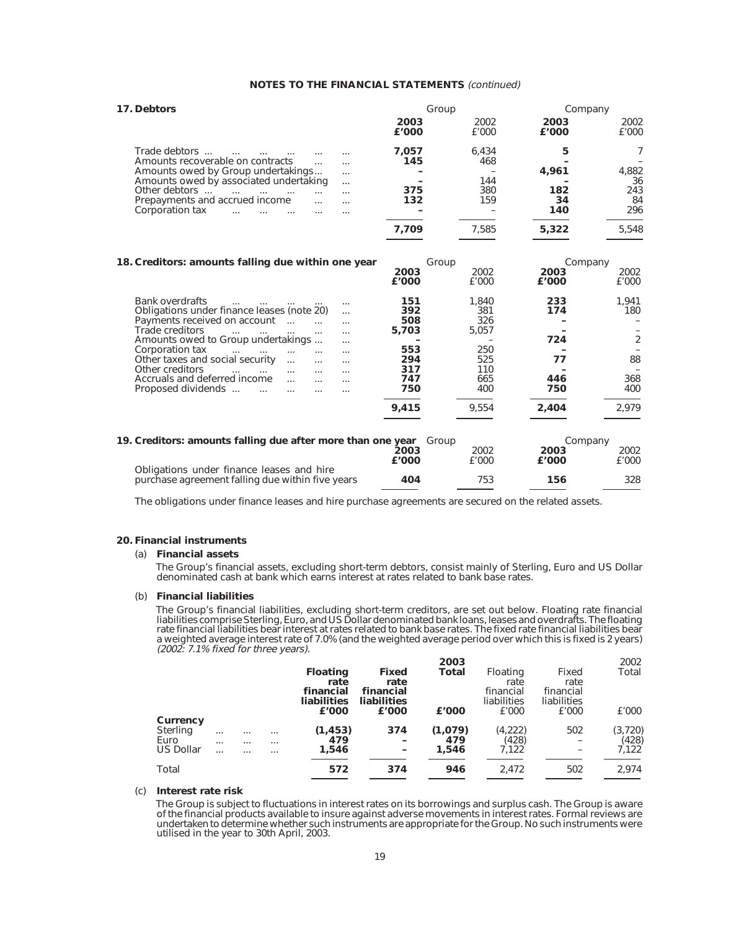| 17. Debtors                                                                                                                                                                                                                                                                                                                                                                       | Group                      |                                   | Company                   |                                 |  |
|-----------------------------------------------------------------------------------------------------------------------------------------------------------------------------------------------------------------------------------------------------------------------------------------------------------------------------------------------------------------------------------|----------------------------|-----------------------------------|---------------------------|---------------------------------|--|
|                                                                                                                                                                                                                                                                                                                                                                                   | 2003<br>£'000              | 2002<br>£'000                     | 2003<br>£'000             | 2002<br>£'000                   |  |
| Trade debtors<br>$\cdots$<br>$\cdots$<br>.<br>Amounts recoverable on contracts<br>$\cdots$<br>.<br>Amounts owed by Group undertakings<br>$\cdots$<br>Amounts owed by associated undertaking<br>$\cdots$<br>Other debtors<br><br>$\cdots$<br>Prepayments and accrued income<br>$\cdots$<br>$\cdots$<br>Corporation tax<br>$\cdots$<br>$\cdots$<br>$\cdots$<br>$\cdots$<br>$\cdots$ | 7.057<br>145<br>375<br>132 | 6.434<br>468<br>144<br>380<br>159 | 4,961<br>182<br>34<br>140 | 4,882<br>36<br>243<br>84<br>296 |  |
|                                                                                                                                                                                                                                                                                                                                                                                   | 7.709                      | 7.585                             | 5,322                     | 5.548                           |  |

| 18. Creditors: amounts falling due within one year<br>Group                                                                                                                                                                                                                                                                                                                                                                                                                                                                                                                                                                                                                                                                                                    | Company                                                                                 |  |  |
|----------------------------------------------------------------------------------------------------------------------------------------------------------------------------------------------------------------------------------------------------------------------------------------------------------------------------------------------------------------------------------------------------------------------------------------------------------------------------------------------------------------------------------------------------------------------------------------------------------------------------------------------------------------------------------------------------------------------------------------------------------------|-----------------------------------------------------------------------------------------|--|--|
| 2002<br>2003<br>2003<br>£'000<br>£'000<br>£'000                                                                                                                                                                                                                                                                                                                                                                                                                                                                                                                                                                                                                                                                                                                | 2002<br>£'000                                                                           |  |  |
| <b>Bank overdrafts</b><br>1,840<br>151<br>$\cdots$<br>Obligations under finance leases (note 20)<br>381<br>392<br>$\cdots$<br>Payments received on account<br>326<br>508<br>$\cdots$<br>Trade creditors<br>5,057<br>5,703<br>$\cdots$<br>$\cdots$<br>$\cdots$<br>Amounts owed to Group undertakings<br>$\cdots$<br>250<br>Corporation tax<br>553<br>$\cdots$<br>$\cdots$<br>$\cdots$<br>$\cdots$<br>$\cdots$<br>525<br>Other taxes and social security<br>294<br>$\cdots$<br>$\cdots$<br>$\cdots$<br>110<br>Other creditors<br>317<br>$\cdots$<br>$\cdots$<br>$\cdots$<br>Accruals and deferred income<br>665<br>747<br>$\cdots$<br>$\cdots$<br>$\cdots$<br>Proposed dividends<br>750<br>400<br>$\cdots$<br>$\cdots$<br>$\cdots$<br>$\cdots$<br>9,415<br>9,554 | 1.941<br>233<br>180<br>174<br>2<br>724<br>88<br>77<br>368<br>446<br>400<br>750<br>2,979 |  |  |
|                                                                                                                                                                                                                                                                                                                                                                                                                                                                                                                                                                                                                                                                                                                                                                | 2,404                                                                                   |  |  |

| 19. Creditors: amounts falling due after more than one year | Group         |               | Company       |               |
|-------------------------------------------------------------|---------------|---------------|---------------|---------------|
|                                                             | 2003<br>£'000 | 2002<br>f'000 | 2003<br>£'000 | 2002<br>£'000 |
| Obligations under finance leases and hire                   |               |               |               |               |
| purchase agreement falling due within five years            | 404           | 753           | 156           | 328           |

The obligations under finance leases and hire purchase agreements are secured on the related assets.

# **20. Financial instruments**

# (a) **Financial assets**

The Group's financial assets, excluding short-term debtors, consist mainly of Sterling, Euro and US Dollar denominated cash at bank which earns interest at rates related to bank base rates.

#### (b) **Financial liabilities**

The Group's financial liabilities, excluding short-term creditors, are set out below. Floating rate financial liabilities comprise Sterling, Euro, and US Dollar denominated bank loans, leases and overdrafts. The floating<br>rate financial liabilities bear interest at rates related to bank base rates. The fixed rate financial liabilit a weighted average interest rate of 7.0% (and the weighted average period over which this is fixed is 2 years) (2002: 7.1% fixed for three years).

|                                                  |                                  |                                  |                                  | <b>Floating</b><br>rate<br>financial<br><b>liabilities</b><br>£'000 | <b>Fixed</b><br>rate<br>financial<br>liabilities<br>£'000 | 2003<br><b>Total</b><br>£'000 | Floating<br>rate<br>financial<br>liabilities<br>£'000 | Fixed<br>rate<br>financial<br>liabilities<br>£'000 | 2002<br>Total<br>£'000    |
|--------------------------------------------------|----------------------------------|----------------------------------|----------------------------------|---------------------------------------------------------------------|-----------------------------------------------------------|-------------------------------|-------------------------------------------------------|----------------------------------------------------|---------------------------|
| Currency<br>Sterling<br>Euro<br><b>US Dollar</b> | $\cdots$<br>$\cdots$<br>$\cdots$ | $\cdots$<br>$\cdots$<br>$\cdots$ | $\cdots$<br>$\cdots$<br>$\cdots$ | (1, 453)<br>479<br>1,546                                            | 374<br>-<br>۰                                             | (1,079)<br>479<br>1,546       | (4,222)<br>(428)<br>7.122                             | 502                                                | (3,720)<br>(428)<br>7,122 |
| Total                                            |                                  |                                  |                                  | 572                                                                 | 374                                                       | 946                           | 2.472                                                 | 502                                                | 2,974                     |

# (c) **Interest rate risk**

The Group is subject to fluctuations in interest rates on its borrowings and surplus cash. The Group is aware of the financial products available to insure against adverse movements in interest rates. Formal reviews are undertaken to determine whether such instruments are appropriate for the Group. No such instruments were utilised in the year to 30th April, 2003.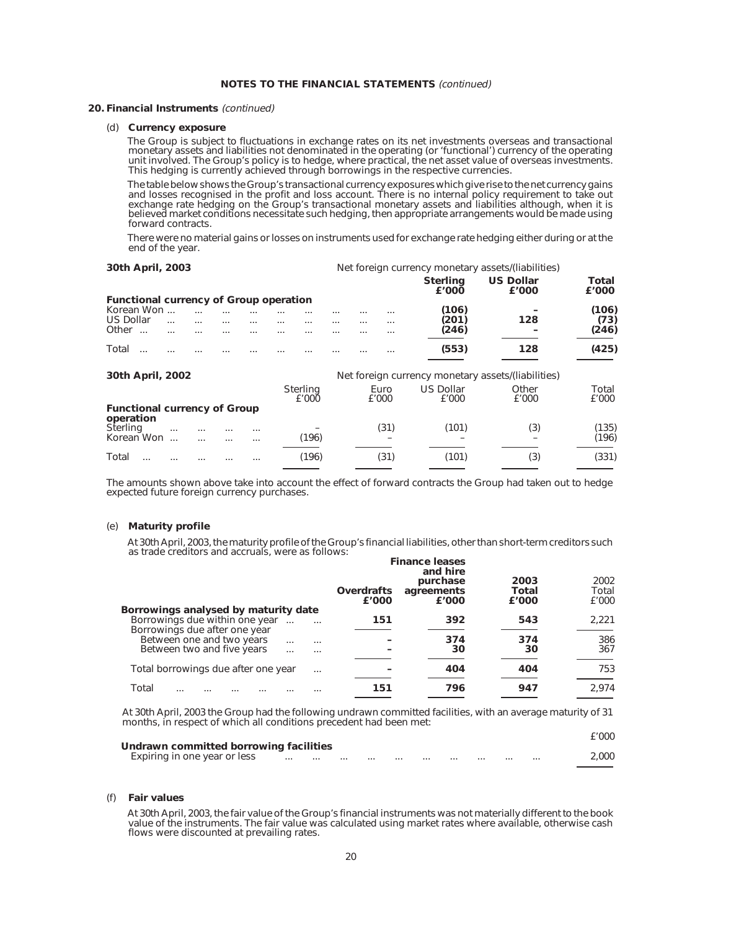### **20. Financial Instruments** (continued)

#### (d) **Currency exposure**

The Group is subject to fluctuations in exchange rates on its net investments overseas and transactional monetary assets and liabilities not denominated in the operating (or 'functional') currency of the operating unit involved. The Group's policy is to hedge, where practical, the net asset value of overseas investments. This hedging is currently achieved through borrowings in the respective currencies.

The table below shows the Group's transactional currency exposures which give rise to the net currency gains and losses recognised in the profit and loss account. There is no internal policy requirement to take out exchange rate hedging on the Group's transactional monetary assets and liabilities although, when it is believed market conditions necessitate such hedging, then appropriate arrangements would be made using forward contracts.

There were no material gains or losses on instruments used for exchange rate hedging either during or at the end of the year.

| 30th April, 2003                                 |          |          |          |          |                      |          | Net foreign currency monetary assets/(liabilities) |          |                          |                                                    |                |  |  |  |
|--------------------------------------------------|----------|----------|----------|----------|----------------------|----------|----------------------------------------------------|----------|--------------------------|----------------------------------------------------|----------------|--|--|--|
| <b>Functional currency of Group operation</b>    |          |          |          |          |                      |          |                                                    |          | <b>Sterling</b><br>£'000 | <b>US Dollar</b><br>£'000                          | Total<br>£'000 |  |  |  |
| Korean Won                                       |          |          |          |          | .<br>$\cdots$        | $\cdots$ | $\cdots$                                           | .        | (106)                    |                                                    | (106)          |  |  |  |
| <b>US Dollar</b>                                 |          | $\cdots$ | $\cdots$ | $\cdots$ | $\cdots$<br>$\cdots$ | $\cdots$ | $\cdots$                                           | $\cdots$ | (201)                    | 128                                                | (73)           |  |  |  |
| Other                                            | $\cdots$ | .        | $\cdots$ | $\cdots$ | $\cdots$<br>$\cdots$ | $\cdots$ | $\cdots$                                           | $\cdots$ | (246)                    |                                                    | (246)          |  |  |  |
| Total                                            |          |          |          |          |                      |          |                                                    | $\cdots$ | (553)                    | 128                                                | (425)          |  |  |  |
| 30th April, 2002                                 |          |          |          |          |                      |          |                                                    |          |                          | Net foreign currency monetary assets/(liabilities) |                |  |  |  |
|                                                  |          |          |          |          | Sterling             |          |                                                    | Euro     | US Dollar                | Other                                              | Total          |  |  |  |
|                                                  |          |          |          |          | E'000                |          |                                                    | £'000    | £'000                    | £'000                                              | £'000          |  |  |  |
| <b>Functional currency of Group</b><br>operation |          |          |          |          |                      |          |                                                    |          |                          |                                                    |                |  |  |  |
| <b>Sterling</b>                                  |          | $\cdots$ | $\cdots$ | $\cdots$ |                      |          |                                                    | (31)     | (101)                    | (3)                                                | (135)          |  |  |  |
| Korean Won                                       |          | $\cdots$ | $\cdots$ | $\cdots$ | (196)                |          |                                                    |          |                          |                                                    | (196)          |  |  |  |
| Total<br>$\cdots$                                | $\cdots$ | .        | .        | $\cdots$ | (196)                |          |                                                    | (31)     | (101)                    | (3)                                                | (331)          |  |  |  |

The amounts shown above take into account the effect of forward contracts the Group had taken out to hedge expected future foreign currency purchases.

#### (e) **Maturity profile**

At 30th April, 2003, the maturity profile of the Group's financial liabilities, other than short-term creditors such as trade creditors and accruals, were as follows: **Finance leases**

|                                                    | <b>Overdrafts</b><br>£'000 | <b>Finance leases</b><br>and hire<br>purchase<br>agreements<br>£'000 | 2003<br><b>Total</b><br>£'000 | 2002<br>Total<br>£'000 |
|----------------------------------------------------|----------------------------|----------------------------------------------------------------------|-------------------------------|------------------------|
| Borrowings analysed by maturity date               |                            |                                                                      |                               |                        |
| Borrowings due within one year<br>$\dddotsc$       | 151                        | 392                                                                  | 543                           | 2,221                  |
| Borrowings due after one year                      |                            |                                                                      |                               |                        |
| Between one and two years<br>$\cdots$<br>$\cdots$  |                            | 374                                                                  | 374                           | 386                    |
| Between two and five years<br>$\cdots$<br>$\cdots$ |                            | 30                                                                   | 30                            | 367                    |
| Total borrowings due after one year<br>$\cdots$    |                            | 404                                                                  | 404                           | 753                    |
| Total<br>$\cdots$<br>$\cdots$<br><br>.             | 151                        | 796                                                                  | 947                           | 2.974                  |
|                                                    |                            |                                                                      |                               |                        |

At 30th April, 2003 the Group had the following undrawn committed facilities, with an average maturity of 31 months, in respect of which all conditions precedent had been met:

£'000

| Undrawn committed borrowing facilities |          |          |   |              |   |      |              | £7000. |
|----------------------------------------|----------|----------|---|--------------|---|------|--------------|--------|
| Expiring in one year or less           | $\cdots$ | $\cdots$ | . | <br>$\cdots$ | . | <br> | <br>$\cdots$ | 2.000  |

#### (f) **Fair values**

At 30th April, 2003, the fair value of the Group's financial instruments was not materially different to the book value of the instruments. The fair value was calculated using market rates where available, otherwise cash flows were discounted at prevailing rates.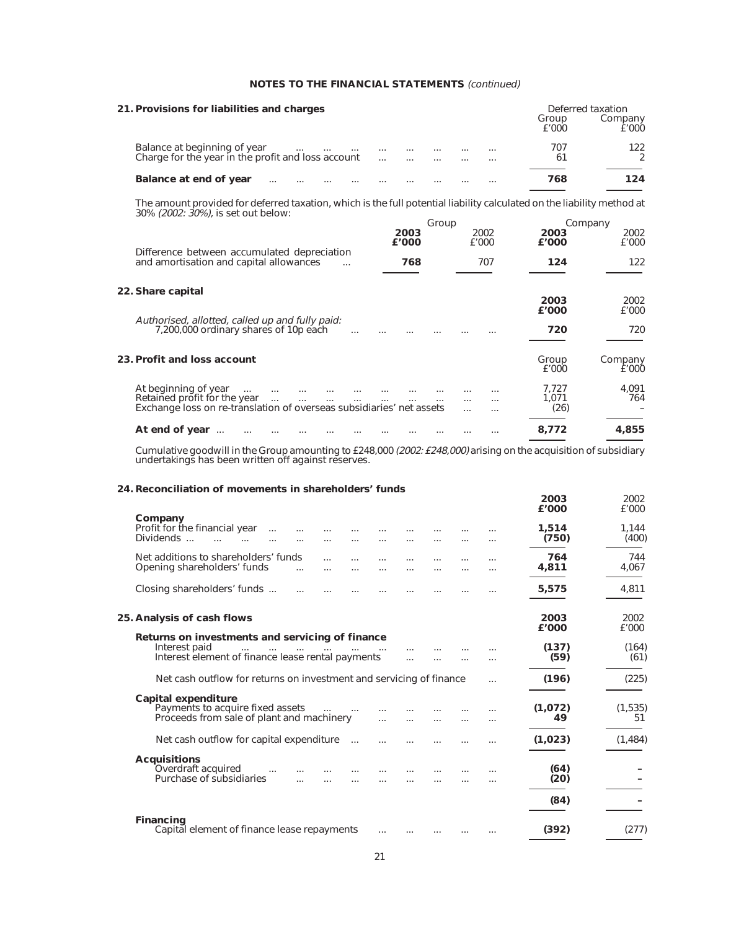| 21. Provisions for liabilities and charges                                         |  |  |          |          |          | Deferred taxation |                  |  |
|------------------------------------------------------------------------------------|--|--|----------|----------|----------|-------------------|------------------|--|
|                                                                                    |  |  |          |          |          | Group<br>£'000    | Company<br>£'000 |  |
|                                                                                    |  |  |          |          | $\cdots$ | 707               | 122              |  |
| Balance at beginning of year<br>Charge for the year in the profit and loss account |  |  | $\cdots$ | $\cdots$ | $\cdots$ | 61                |                  |  |
| Balance at end of year<br>$\cdots$                                                 |  |  |          |          | $\cdots$ | 768               | 124              |  |

The amount provided for deferred taxation, which is the full potential liability calculated on the liability method at 30% (2002: 30%), is set out below:

|                                                                                                                                                      | Group                            |          |                                                   |                        | Company          |  |  |  |
|------------------------------------------------------------------------------------------------------------------------------------------------------|----------------------------------|----------|---------------------------------------------------|------------------------|------------------|--|--|--|
|                                                                                                                                                      | 2003<br>£'000                    |          | 2002<br>£'000                                     | 2003<br>£'000          | 2002<br>£'000    |  |  |  |
| Difference between accumulated depreciation<br>and amortisation and capital allowances                                                               | 768                              |          | 707                                               | 124                    | 122              |  |  |  |
| 22. Share capital                                                                                                                                    |                                  |          |                                                   | 2003                   | 2002             |  |  |  |
|                                                                                                                                                      |                                  |          |                                                   | £'000                  | £'000            |  |  |  |
| Authorised, allotted, called up and fully paid:<br>7,200,000 ordinary shares of 10p each                                                             |                                  |          |                                                   | 720                    | 720              |  |  |  |
| 23. Profit and loss account                                                                                                                          |                                  |          |                                                   | Group<br>£'000         | Company<br>£'000 |  |  |  |
| At beginning of year<br>$\cdots$<br>Retained profit for the year<br>$\cdots$<br>Exchange loss on re-translation of overseas subsidiaries' net assets | $\cdots$<br>$\cdots$<br>$\cdots$ | $\cdots$ | $\cdots$<br>$\cdots$<br>$\cdots$<br>$\cdots$<br>. | 7.727<br>1,071<br>(26) | 4.091<br>764     |  |  |  |
| At end of year<br>$\cdots$<br>$\cdots$<br>$\cdots$<br>$\cdots$<br>$\cdots$                                                                           | $\cdots$                         |          | $\cdots$                                          | 8,772                  | 4,855            |  |  |  |

Cumulative goodwill in the Group amounting to £248,000 (2002: £248,000) arising on the acquisition of subsidiary undertakings has been written off against reserves.

## **24. Reconciliation of movements in shareholders' funds**

| econciliation of movements in sharenoiders funds                                                                                                                      |  |  |          | 2003<br>£'000  | 2002<br>£'000  |
|-----------------------------------------------------------------------------------------------------------------------------------------------------------------------|--|--|----------|----------------|----------------|
| Company<br>Profit for the financial year<br>$\cdots$<br>Dividends                                                                                                     |  |  |          | 1,514<br>(750) | 1,144<br>(400) |
| Net additions to shareholders' funds<br>Opening shareholders' funds<br>$\cdots$                                                                                       |  |  |          | 764<br>4,811   | 744<br>4,067   |
| Closing shareholders' funds                                                                                                                                           |  |  |          | 5,575          | 4,811          |
| 25. Analysis of cash flows                                                                                                                                            |  |  |          | 2003<br>£'000  | 2002<br>£'000  |
| Returns on investments and servicing of finance<br>Interest paid<br>$\cdots$<br>$\cdots$<br>$\cdots$<br>$\cdots$<br>Interest element of finance lease rental payments |  |  |          | (137)<br>(59)  | (164)<br>(61)  |
| Net cash outflow for returns on investment and servicing of finance                                                                                                   |  |  | $\cdots$ | (196)          | (225)          |
| <b>Capital expenditure</b><br>Payments to acquire fixed assets<br>$\mathbf{r}$ and $\mathbf{r}$ are all $\mathbf{r}$<br>Proceeds from sale of plant and machinery     |  |  |          | (1,072)<br>49  | (1, 535)<br>51 |
| Net cash outflow for capital expenditure<br>$\cdots$                                                                                                                  |  |  |          | (1,023)        | (1, 484)       |
| <b>Acquisitions</b><br>Overdraft acquired<br>$\cdots$<br>Purchase of subsidiaries                                                                                     |  |  |          | (64)<br>(20)   |                |
|                                                                                                                                                                       |  |  |          | (84)           |                |
| <b>Financing</b><br>Capital element of finance lease repayments                                                                                                       |  |  |          | (392)          | (277)          |